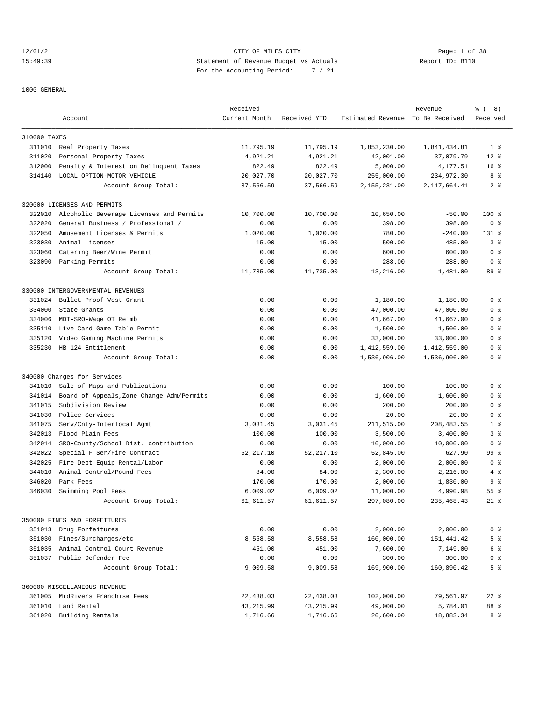12/01/21 CITY OF MILES CITY Page: 1 of 38 15:49:39 Statement of Revenue Budget vs Actuals Report ID: B110 For the Accounting Period: 7 / 21

1000 GENERAL

|              | Account                                   | Received<br>Current Month | Received YTD | Estimated Revenue To Be Received | Revenue        | $\frac{6}{6}$ ( 8)<br>Received |
|--------------|-------------------------------------------|---------------------------|--------------|----------------------------------|----------------|--------------------------------|
|              |                                           |                           |              |                                  |                |                                |
| 310000 TAXES |                                           |                           |              |                                  |                |                                |
|              | 311010 Real Property Taxes                | 11,795.19                 | 11,795.19    | 1,853,230.00                     | 1,841,434.81   | 1 <sup>8</sup>                 |
| 311020       | Personal Property Taxes                   | 4,921.21                  | 4,921.21     | 42,001.00                        | 37,079.79      | $12*$                          |
| 312000       | Penalty & Interest on Delinquent Taxes    | 822.49                    | 822.49       | 5,000.00                         | 4,177.51       | 16 <sup>8</sup>                |
|              | 314140 LOCAL OPTION-MOTOR VEHICLE         | 20,027.70                 | 20,027.70    | 255,000.00                       | 234,972.30     | 8 %                            |
|              | Account Group Total:                      | 37,566.59                 | 37,566.59    | 2,155,231.00                     | 2, 117, 664.41 | 2 <sub>8</sub>                 |
|              | 320000 LICENSES AND PERMITS               |                           |              |                                  |                |                                |
| 322010       | Alcoholic Beverage Licenses and Permits   | 10,700.00                 | 10,700.00    | 10,650.00                        | $-50.00$       | $100$ %                        |
| 322020       | General Business / Professional /         | 0.00                      | 0.00         | 398.00                           | 398.00         | 0 <sup>8</sup>                 |
| 322050       | Amusement Licenses & Permits              | 1,020.00                  | 1,020.00     | 780.00                           | $-240.00$      | $131$ %                        |
| 323030       | Animal Licenses                           | 15.00                     | 15.00        | 500.00                           | 485.00         | 3 <sup>8</sup>                 |
| 323060       | Catering Beer/Wine Permit                 | 0.00                      | 0.00         | 600.00                           | 600.00         | 0 %                            |
| 323090       | Parking Permits                           | 0.00                      | 0.00         | 288.00                           | 288.00         | 0 <sup>8</sup>                 |
|              | Account Group Total:                      | 11,735.00                 | 11,735.00    | 13,216.00                        | 1,481.00       | 89 %                           |
|              | 330000 INTERGOVERNMENTAL REVENUES         |                           |              |                                  |                |                                |
| 331024       | Bullet Proof Vest Grant                   | 0.00                      | 0.00         | 1,180.00                         | 1,180.00       | 0 <sup>8</sup>                 |
| 334000       | State Grants                              | 0.00                      | 0.00         | 47,000.00                        | 47,000.00      | 0 <sup>8</sup>                 |
| 334006       | MDT-SRO-Wage OT Reimb                     | 0.00                      | 0.00         | 41,667.00                        | 41,667.00      | 0 <sup>8</sup>                 |
| 335110       | Live Card Game Table Permit               | 0.00                      | 0.00         | 1,500.00                         | 1,500.00       | 0 <sup>8</sup>                 |
| 335120       | Video Gaming Machine Permits              | 0.00                      | 0.00         | 33,000.00                        | 33,000.00      | 0 <sup>8</sup>                 |
|              | 335230 HB 124 Entitlement                 | 0.00                      | 0.00         | 1,412,559.00                     | 1,412,559.00   | 0 %                            |
|              | Account Group Total:                      | 0.00                      | 0.00         | 1,536,906.00                     | 1,536,906.00   | 0 <sup>8</sup>                 |
|              | 340000 Charges for Services               |                           |              |                                  |                |                                |
| 341010       | Sale of Maps and Publications             | 0.00                      | 0.00         | 100.00                           | 100.00         | 0 <sup>8</sup>                 |
| 341014       | Board of Appeals, Zone Change Adm/Permits | 0.00                      | 0.00         | 1,600.00                         | 1,600.00       | 0 %                            |
| 341015       | Subdivision Review                        | 0.00                      | 0.00         | 200.00                           | 200.00         | 0 <sup>8</sup>                 |
| 341030       | Police Services                           | 0.00                      | 0.00         | 20.00                            | 20.00          | 0 <sup>8</sup>                 |
| 341075       | Serv/Cnty-Interlocal Agmt                 | 3,031.45                  | 3,031.45     | 211,515.00                       | 208, 483.55    | 1 <sup>8</sup>                 |
| 342013       | Flood Plain Fees                          | 100.00                    | 100.00       | 3,500.00                         | 3,400.00       | 3 <sup>8</sup>                 |
| 342014       | SRO-County/School Dist. contribution      | 0.00                      | 0.00         | 10,000.00                        | 10,000.00      | 0 <sup>8</sup>                 |
| 342022       | Special F Ser/Fire Contract               | 52, 217.10                | 52, 217.10   | 52,845.00                        | 627.90         | 99 %                           |
| 342025       | Fire Dept Equip Rental/Labor              | 0.00                      | 0.00         | 2,000.00                         | 2,000.00       | 0 <sup>8</sup>                 |
| 344010       | Animal Control/Pound Fees                 | 84.00                     | 84.00        | 2,300.00                         | 2,216.00       | 4%                             |
| 346020       | Park Fees                                 | 170.00                    | 170.00       | 2,000.00                         | 1,830.00       | 9 <sup>8</sup>                 |
| 346030       | Swimming Pool Fees                        | 6,009.02                  | 6,009.02     | 11,000.00                        | 4,990.98       | 55 <sup>8</sup>                |
|              | Account Group Total:                      | 61,611.57                 | 61,611.57    | 297,080.00                       | 235,468.43     | $21$ %                         |
|              | 350000 FINES AND FORFEITURES              |                           |              |                                  |                |                                |
|              | 351013 Drug Forfeitures                   | 0.00                      | 0.00         | 2,000.00                         | 2,000.00       | 0 <sup>8</sup>                 |
| 351030       | Fines/Surcharges/etc                      | 8,558.58                  | 8,558.58     | 160,000.00                       | 151,441.42     | 5 <sup>°</sup>                 |
| 351035       | Animal Control Court Revenue              | 451.00                    | 451.00       | 7,600.00                         | 7,149.00       | 6 %                            |
|              | 351037 Public Defender Fee                | 0.00                      | 0.00         | 300.00                           | 300.00         | 0 <sup>8</sup>                 |
|              | Account Group Total:                      | 9,009.58                  | 9,009.58     | 169,900.00                       | 160,890.42     | 5 <sup>°</sup>                 |
|              | 360000 MISCELLANEOUS REVENUE              |                           |              |                                  |                |                                |
|              | 361005 MidRivers Franchise Fees           | 22,438.03                 | 22,438.03    | 102,000.00                       | 79,561.97      | $22$ %                         |
|              | 361010 Land Rental                        | 43, 215.99                | 43, 215.99   | 49,000.00                        | 5,784.01       | 88 %                           |
| 361020       | Building Rentals                          | 1,716.66                  | 1,716.66     | 20,600.00                        | 18,883.34      | 8 %                            |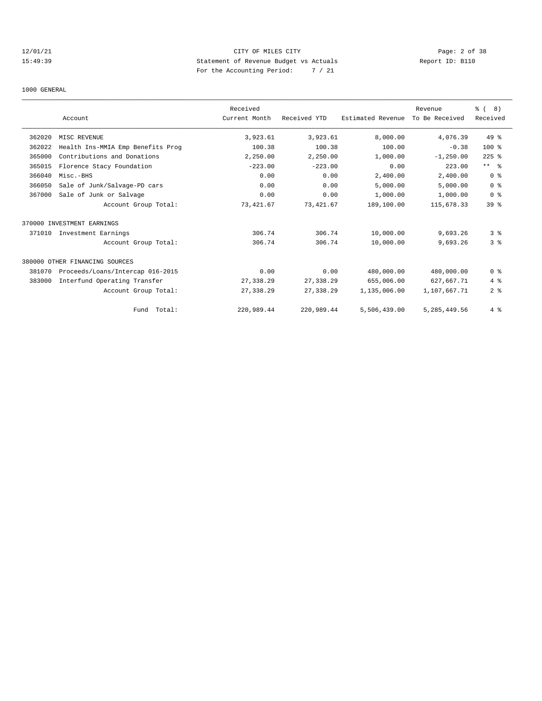## 12/01/21 CITY OF MILES CITY Page: 2 of 38 15:49:39 Statement of Revenue Budget vs Actuals Report ID: B110 For the Accounting Period: 7 / 21

### 1000 GENERAL

|        |                                   | Received      |              |                   | Revenue        | $\frac{6}{6}$ ( 8) |
|--------|-----------------------------------|---------------|--------------|-------------------|----------------|--------------------|
|        | Account                           | Current Month | Received YTD | Estimated Revenue | To Be Received | Received           |
| 362020 | MISC REVENUE                      | 3,923.61      | 3,923.61     | 8,000.00          | 4,076.39       | $49*$              |
| 362022 | Health Ins-MMIA Emp Benefits Prog | 100.38        | 100.38       | 100.00            | $-0.38$        | $100*$             |
| 365000 | Contributions and Donations       | 2,250.00      | 2,250.00     | 1,000.00          | $-1, 250.00$   | $225$ %            |
| 365015 | Florence Stacy Foundation         | $-223.00$     | $-223.00$    | 0.00              | 223.00         | $***$ $ -$         |
| 366040 | Misc.-BHS                         | 0.00          | 0.00         | 2,400.00          | 2,400.00       | 0 <sup>8</sup>     |
| 366050 | Sale of Junk/Salvage-PD cars      | 0.00          | 0.00         | 5,000.00          | 5,000.00       | 0 <sup>8</sup>     |
| 367000 | Sale of Junk or Salvage           | 0.00          | 0.00         | 1,000.00          | 1,000.00       | 0 <sup>8</sup>     |
|        | Account Group Total:              | 73, 421.67    | 73, 421.67   | 189,100.00        | 115,678.33     | $39*$              |
|        | 370000 INVESTMENT EARNINGS        |               |              |                   |                |                    |
| 371010 | Investment Earnings               | 306.74        | 306.74       | 10,000.00         | 9,693.26       | 3 <sup>8</sup>     |
|        | Account Group Total:              | 306.74        | 306.74       | 10,000.00         | 9,693.26       | 3 <sup>8</sup>     |
|        | 380000 OTHER FINANCING SOURCES    |               |              |                   |                |                    |
| 381070 | Proceeds/Loans/Intercap 016-2015  | 0.00          | 0.00         | 480,000.00        | 480,000.00     | 0 <sup>8</sup>     |
| 383000 | Interfund Operating Transfer      | 27, 338.29    | 27, 338.29   | 655,006.00        | 627,667.71     | 4%                 |
|        | Account Group Total:              | 27, 338.29    | 27, 338.29   | 1,135,006.00      | 1,107,667.71   | 2 <sup>8</sup>     |
|        | Fund Total:                       | 220,989.44    | 220,989.44   | 5,506,439.00      | 5,285,449.56   | 4%                 |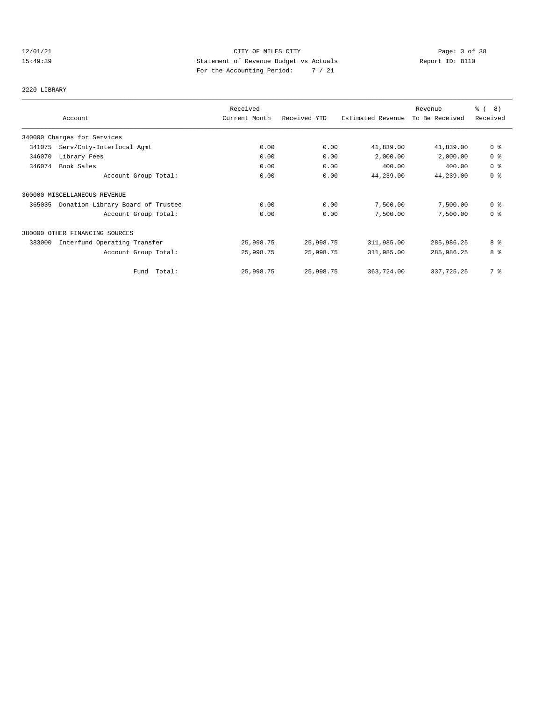## 12/01/21 CITY OF MILES CITY Page: 3 of 38 15:49:39 Statement of Revenue Budget vs Actuals Report ID: B110 For the Accounting Period: 7 / 21

# 2220 LIBRARY

|        |                                   | Received      |              |                   | Revenue        | $\frac{6}{3}$ ( 8) |
|--------|-----------------------------------|---------------|--------------|-------------------|----------------|--------------------|
|        | Account                           | Current Month | Received YTD | Estimated Revenue | To Be Received | Received           |
|        | 340000 Charges for Services       |               |              |                   |                |                    |
| 341075 | Serv/Cnty-Interlocal Agmt         | 0.00          | 0.00         | 41,839.00         | 41,839.00      | 0 <sup>8</sup>     |
| 346070 | Library Fees                      | 0.00          | 0.00         | 2,000.00          | 2,000.00       | 0 <sup>8</sup>     |
| 346074 | Book Sales                        | 0.00          | 0.00         | 400.00            | 400.00         | 0 <sup>8</sup>     |
|        | Account Group Total:              | 0.00          | 0.00         | 44,239.00         | 44,239.00      | 0 <sup>8</sup>     |
|        | 360000 MISCELLANEOUS REVENUE      |               |              |                   |                |                    |
| 365035 | Donation-Library Board of Trustee | 0.00          | 0.00         | 7,500.00          | 7,500.00       | 0 <sup>8</sup>     |
|        | Account Group Total:              | 0.00          | 0.00         | 7,500.00          | 7,500.00       | $0$ %              |
|        | 380000 OTHER FINANCING SOURCES    |               |              |                   |                |                    |
| 383000 | Interfund Operating Transfer      | 25,998.75     | 25,998.75    | 311,985.00        | 285,986.25     | 8 %                |
|        | Account Group Total:              | 25,998.75     | 25,998.75    | 311,985.00        | 285,986.25     | 8 %                |
|        | Fund Total:                       | 25,998.75     | 25,998.75    | 363,724.00        | 337,725.25     | 7 %                |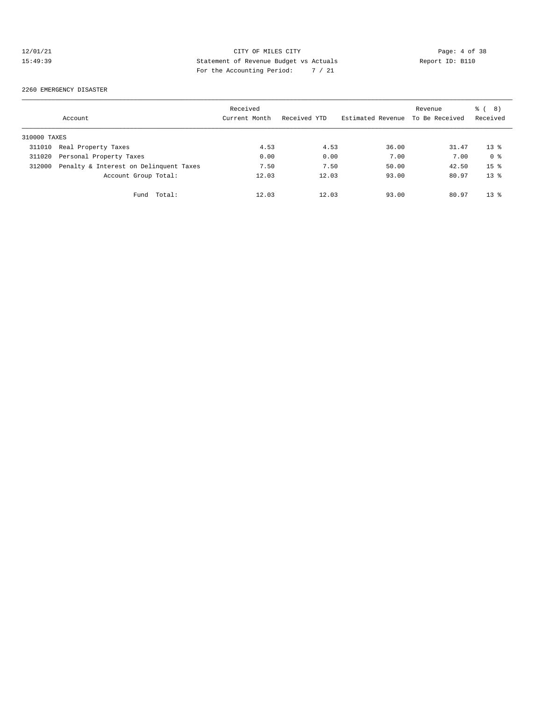## 12/01/21 CITY OF MILES CITY Page: 4 of 38 15:49:39 Statement of Revenue Budget vs Actuals Report ID: B110 For the Accounting Period: 7 / 21

2260 EMERGENCY DISASTER

|              | Account                                | Received<br>Current Month | Received YTD | Estimated Revenue | Revenue<br>To Be Received | (8)<br>ී (<br>Received |
|--------------|----------------------------------------|---------------------------|--------------|-------------------|---------------------------|------------------------|
| 310000 TAXES |                                        |                           |              |                   |                           |                        |
| 311010       | Real Property Taxes                    | 4.53                      | 4.53         | 36.00             | 31.47                     | $13*$                  |
| 311020       | Personal Property Taxes                | 0.00                      | 0.00         | 7.00              | 7.00                      | 0 <sup>8</sup>         |
| 312000       | Penalty & Interest on Delinquent Taxes | 7.50                      | 7.50         | 50.00             | 42.50                     | 15 <sup>8</sup>        |
|              | Account Group Total:                   | 12.03                     | 12.03        | 93.00             | 80.97                     | $13*$                  |
|              | Total:<br>Fund                         | 12.03                     | 12.03        | 93.00             | 80.97                     | $13*$                  |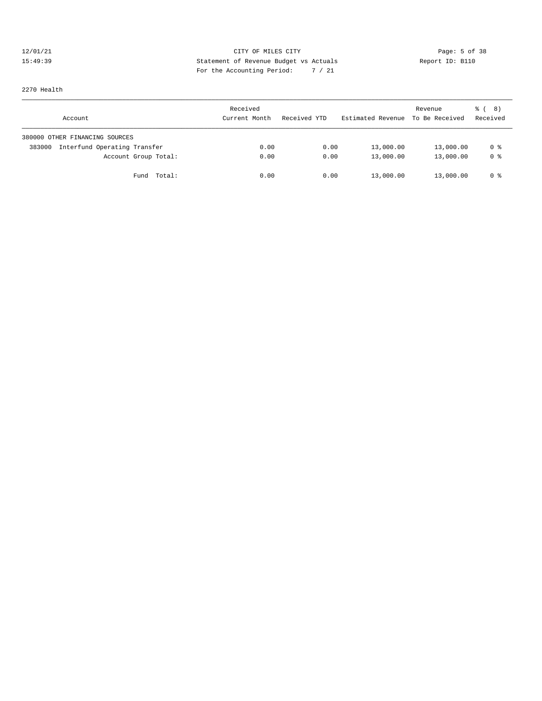## 12/01/21 CITY OF MILES CITY CONTRIBUTE CITY Page: 5 of 38<br>15:49:39 Statement of Revenue Budget vs Actuals Report ID: B110 15:49:39 Statement of Revenue Budget vs Actuals Report ID: B110 For the Accounting Period: 7 / 21

2270 Health

| Account                                | Received<br>Current Month | Received YTD | Estimated Revenue To Be Received | Revenue   | <sub>රි</sub> ( 8 )<br>Received |
|----------------------------------------|---------------------------|--------------|----------------------------------|-----------|---------------------------------|
| 380000 OTHER FINANCING SOURCES         |                           |              |                                  |           |                                 |
| Interfund Operating Transfer<br>383000 | 0.00                      | 0.00         | 13,000.00                        | 13,000.00 | 0 %                             |
| Account Group Total:                   | 0.00                      | 0.00         | 13,000.00                        | 13,000.00 | 0 %                             |
| Fund Total:                            | 0.00                      | 0.00         | 13,000.00                        | 13,000.00 | 0 %                             |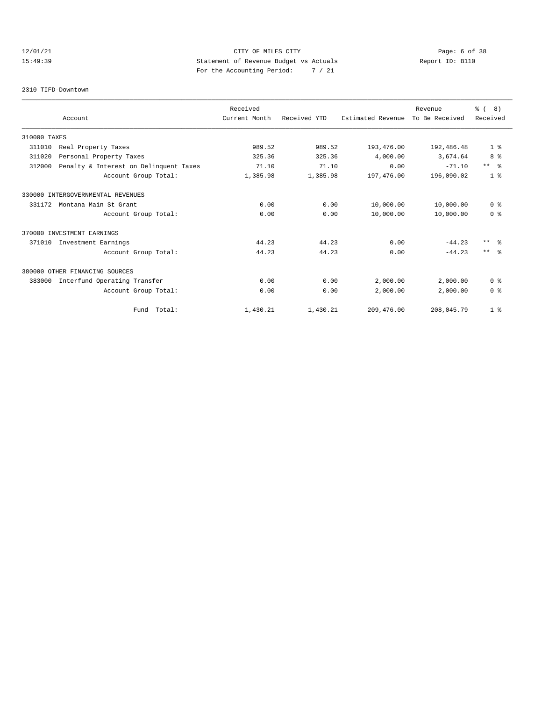## 12/01/21 CITY OF MILES CITY Page: 6 of 38 15:49:39 Statement of Revenue Budget vs Actuals Report ID: B110 For the Accounting Period: 7 / 21

### 2310 TIFD-Downtown

|              |                                        | Received      |              |                   | Revenue        | % (8)           |
|--------------|----------------------------------------|---------------|--------------|-------------------|----------------|-----------------|
|              | Account                                | Current Month | Received YTD | Estimated Revenue | To Be Received | Received        |
| 310000 TAXES |                                        |               |              |                   |                |                 |
| 311010       | Real Property Taxes                    | 989.52        | 989.52       | 193,476.00        | 192,486.48     | 1 <sup>8</sup>  |
| 311020       | Personal Property Taxes                | 325.36        | 325.36       | 4,000.00          | 3,674.64       | 8 %             |
| 312000       | Penalty & Interest on Delinquent Taxes | 71.10         | 71.10        | 0.00              | $-71.10$       | $***$ $ -$      |
|              | Account Group Total:                   | 1,385.98      | 1,385.98     | 197,476.00        | 196,090.02     | 1 <sup>8</sup>  |
|              | 330000 INTERGOVERNMENTAL REVENUES      |               |              |                   |                |                 |
| 331172       | Montana Main St Grant                  | 0.00          | 0.00         | 10,000.00         | 10,000.00      | 0 <sup>8</sup>  |
|              | Account Group Total:                   | 0.00          | 0.00         | 10,000.00         | 10,000.00      | 0 <sup>8</sup>  |
|              | 370000 INVESTMENT EARNINGS             |               |              |                   |                |                 |
| 371010       | Investment Earnings                    | 44.23         | 44.23        | 0.00              | $-44.23$       | $***$ %         |
|              | Account Group Total:                   | 44.23         | 44.23        | 0.00              | $-44.23$       | $***$ $\approx$ |
|              | 380000 OTHER FINANCING SOURCES         |               |              |                   |                |                 |
| 383000       | Interfund Operating Transfer           | 0.00          | 0.00         | 2,000.00          | 2,000.00       | 0 <sup>8</sup>  |
|              | Account Group Total:                   | 0.00          | 0.00         | 2,000.00          | 2,000.00       | 0 <sup>8</sup>  |
|              | Fund Total:                            | 1,430.21      | 1,430.21     | 209,476.00        | 208,045.79     | 1 <sup>8</sup>  |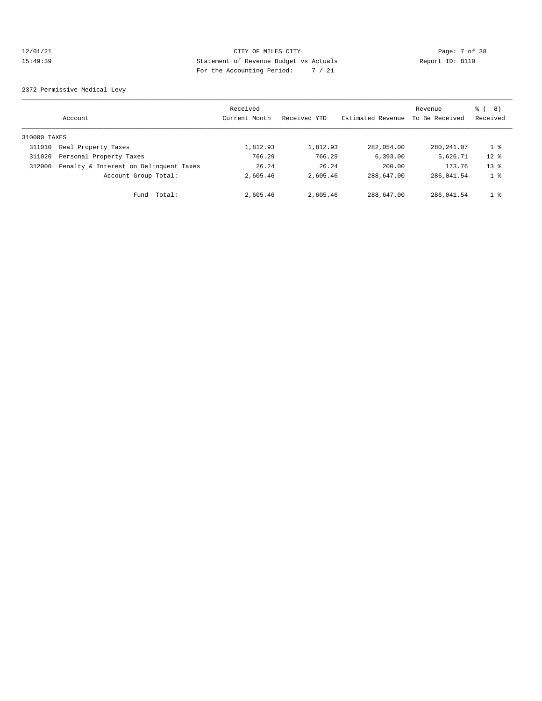## 12/01/21 CITY OF MILES CITY Page: 7 of 38 15:49:39 Statement of Revenue Budget vs Actuals Report ID: B110 For the Accounting Period: 7 / 21

2372 Permissive Medical Levy

|              | Account                                | Received<br>Current Month | Received YTD | Estimated Revenue | Revenue<br>To Be Received | ී ( 8 )<br>Received |
|--------------|----------------------------------------|---------------------------|--------------|-------------------|---------------------------|---------------------|
| 310000 TAXES |                                        |                           |              |                   |                           |                     |
| 311010       | Real Property Taxes                    | 1,812.93                  | 1,812.93     | 282,054.00        | 280,241.07                | 1 %                 |
| 311020       | Personal Property Taxes                | 766.29                    | 766.29       | 6,393.00          | 5,626.71                  | $12*$               |
| 312000       | Penalty & Interest on Delinquent Taxes | 26.24                     | 26.24        | 200.00            | 173.76                    | $13*$               |
|              | Account Group Total:                   | 2,605.46                  | 2,605.46     | 288,647.00        | 286,041.54                | 1 <sup>8</sup>      |
|              | Total:<br>Fund                         | 2,605.46                  | 2,605.46     | 288,647.00        | 286,041.54                | 1 <sup>8</sup>      |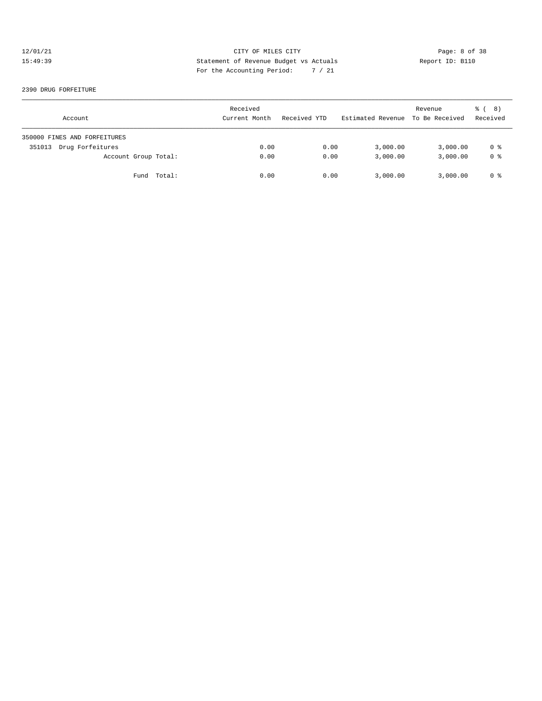## 12/01/21 CITY OF MILES CITY CONTRIBUTE CITY Page: 8 of 38<br>15:49:39 Statement of Revenue Budget vs Actuals Report ID: B110 15:49:39 Statement of Revenue Budget vs Actuals Report ID: B110 For the Accounting Period: 7 / 21

### 2390 DRUG FORFEITURE

| Account                      | Received<br>Current Month | Received YTD | Estimated Revenue To Be Received | Revenue  | <sub>රි</sub> ( 8 )<br>Received |
|------------------------------|---------------------------|--------------|----------------------------------|----------|---------------------------------|
| 350000 FINES AND FORFEITURES |                           |              |                                  |          |                                 |
| Drug Forfeitures<br>351013   | 0.00                      | 0.00         | 3,000.00                         | 3,000.00 | 0 %                             |
| Account Group Total:         | 0.00                      | 0.00         | 3,000.00                         | 3,000.00 | 0 %                             |
| Fund Total:                  | 0.00                      | 0.00         | 3,000.00                         | 3,000.00 | 0 %                             |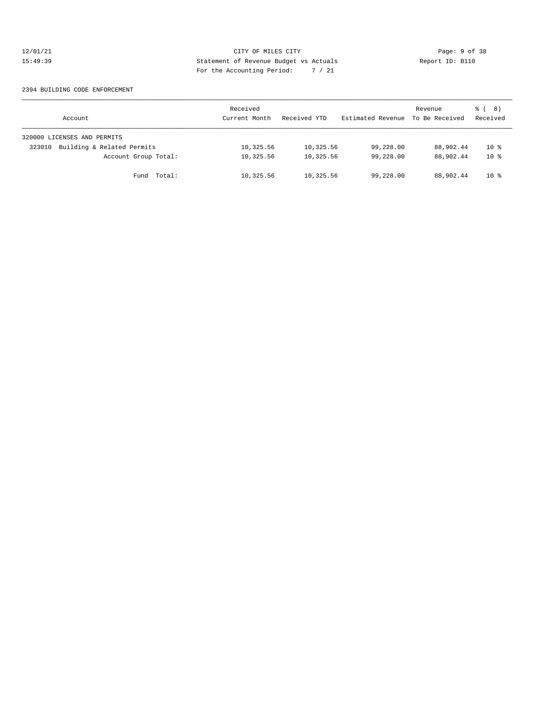## 12/01/21 CITY OF MILES CITY CONTRIBUTE CITY Page: 9 of 38<br>15:49:39 Statement of Revenue Budget vs Actuals Report ID: B110 15:49:39 Statement of Revenue Budget vs Actuals Report ID: B110 For the Accounting Period: 7 / 21

### 2394 BUILDING CODE ENFORCEMENT

| Account                              | Received<br>Current Month | Received YTD | Estimated Revenue | Revenue<br>To Be Received | <sub>රි</sub> ( 8 )<br>Received |
|--------------------------------------|---------------------------|--------------|-------------------|---------------------------|---------------------------------|
| 320000 LICENSES AND PERMITS          |                           |              |                   |                           |                                 |
| Building & Related Permits<br>323010 | 10,325.56                 | 10,325.56    | 99,228.00         | 88,902.44                 | 10 <sub>8</sub>                 |
| Account Group Total:                 | 10,325.56                 | 10,325.56    | 99,228.00         | 88,902.44                 | 10 <sup>8</sup>                 |
| Fund Total:                          | 10,325.56                 | 10,325.56    | 99,228.00         | 88,902.44                 | 10 <sub>8</sub>                 |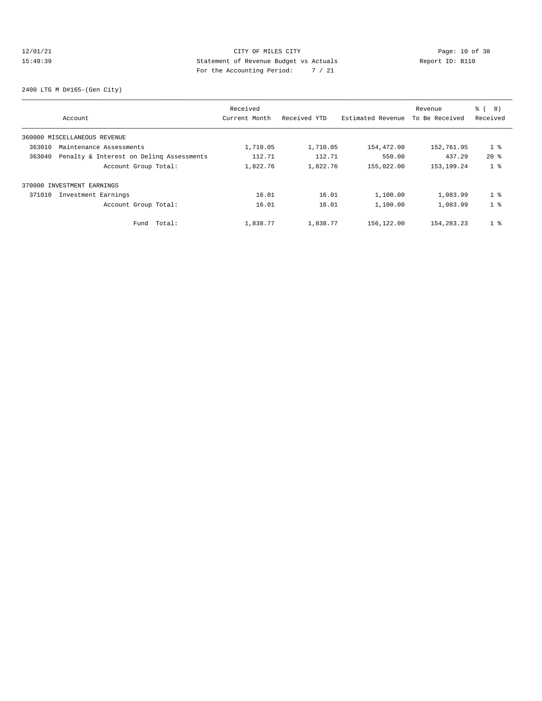## 12/01/21 CITY OF MILES CITY<br>15:49:39 Statement of Revenue Budget vs Actuals<br>15:49:39 Page: 10 of 38 15:49:39 Statement of Revenue Budget vs Actuals Report ID: B110 For the Accounting Period: 7 / 21

2400 LTG M D#165-(Gen City)

|                                                    |        | Received      |              |                   | Revenue        | $\frac{6}{6}$ (<br>8) |
|----------------------------------------------------|--------|---------------|--------------|-------------------|----------------|-----------------------|
| Account                                            |        | Current Month | Received YTD | Estimated Revenue | To Be Received | Received              |
| 360000 MISCELLANEOUS REVENUE                       |        |               |              |                   |                |                       |
| 363010<br>Maintenance Assessments                  |        | 1,710.05      | 1,710.05     | 154,472.00        | 152,761.95     | 1 <sup>°</sup>        |
| Penalty & Interest on Deling Assessments<br>363040 |        | 112.71        | 112.71       | 550.00            | 437.29         | $20*$                 |
| Account Group Total:                               |        | 1,822.76      | 1,822.76     | 155,022.00        | 153, 199. 24   | 1 <sup>8</sup>        |
| 370000 INVESTMENT EARNINGS                         |        |               |              |                   |                |                       |
| 371010<br>Investment Earnings                      |        | 16.01         | 16.01        | 1,100.00          | 1,083.99       | 1 <sup>8</sup>        |
| Account Group Total:                               |        | 16.01         | 16.01        | 1,100.00          | 1,083.99       | 1 <sup>8</sup>        |
| Fund                                               | Total: | 1,838.77      | 1,838.77     | 156,122.00        | 154, 283. 23   | 1 <sup>8</sup>        |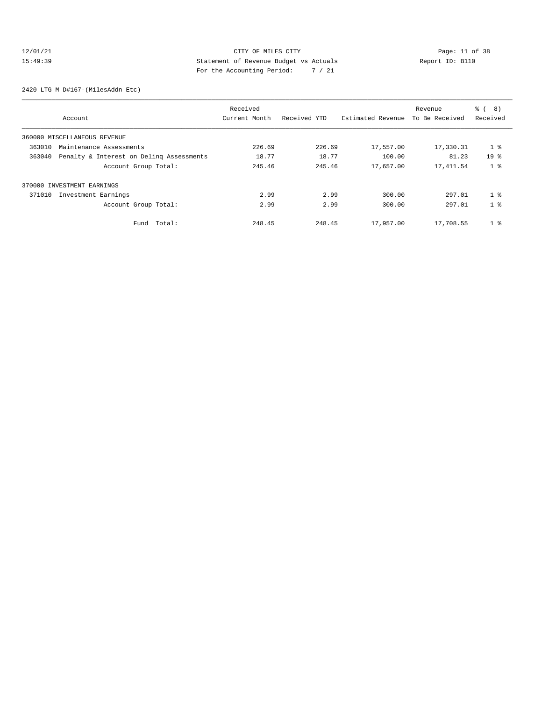## 12/01/21 Page: 11 of 38 CITY OF MILES CITY 15:49:39 Statement of Revenue Budget vs Actuals Report ID: B110 For the Accounting Period: 7 / 21

2420 LTG M D#167-(MilesAddn Etc)

| Account                                            | Received<br>Current Month | Received YTD | Estimated Revenue | Revenue<br>To Be Received | $\frac{6}{6}$ (<br>8)<br>Received |
|----------------------------------------------------|---------------------------|--------------|-------------------|---------------------------|-----------------------------------|
| 360000 MISCELLANEOUS REVENUE                       |                           |              |                   |                           |                                   |
| 363010<br>Maintenance Assessments                  | 226.69                    | 226.69       | 17,557.00         | 17,330.31                 | 1 <sup>8</sup>                    |
| 363040<br>Penalty & Interest on Deling Assessments | 18.77                     | 18.77        | 100.00            | 81.23                     | 19 <sup>8</sup>                   |
| Account Group Total:                               | 245.46                    | 245.46       | 17,657.00         | 17,411.54                 | 1 <sup>8</sup>                    |
| 370000 INVESTMENT EARNINGS                         |                           |              |                   |                           |                                   |
| 371010<br>Investment Earnings                      | 2.99                      | 2.99         | 300.00            | 297.01                    | 1 <sup>8</sup>                    |
| Account Group Total:                               | 2.99                      | 2.99         | 300.00            | 297.01                    | 1 <sup>8</sup>                    |
| Total:<br>Fund                                     | 248.45                    | 248.45       | 17,957.00         | 17,708.55                 | 1 <sup>8</sup>                    |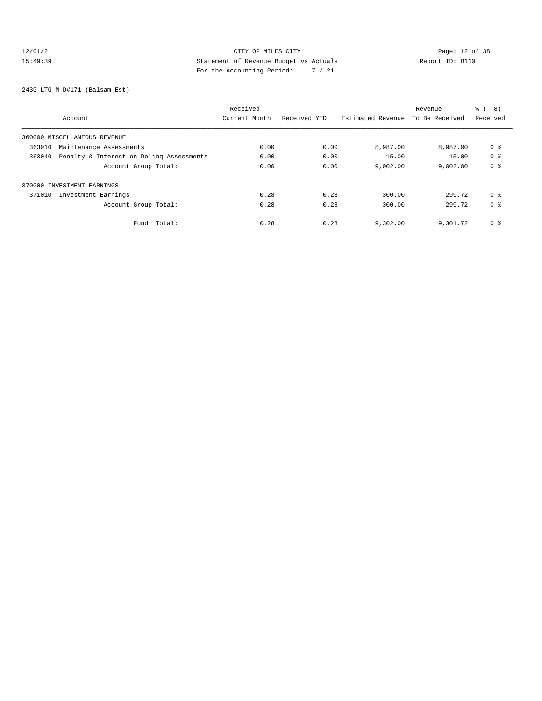## 12/01/21 Page: 12 of 38 CITY OF MILES CITY 15:49:39 Statement of Revenue Budget vs Actuals Report ID: B110 For the Accounting Period: 7 / 21

2430 LTG M D#171-(Balsam Est)

|                                                    | Received      |              |                   | Revenue        | $\frac{6}{6}$ (<br>8) |
|----------------------------------------------------|---------------|--------------|-------------------|----------------|-----------------------|
| Account                                            | Current Month | Received YTD | Estimated Revenue | To Be Received | Received              |
| 360000 MISCELLANEOUS REVENUE                       |               |              |                   |                |                       |
| 363010<br>Maintenance Assessments                  | 0.00          | 0.00         | 8,987.00          | 8,987.00       | 0 %                   |
| Penalty & Interest on Deling Assessments<br>363040 | 0.00          | 0.00         | 15.00             | 15.00          | 0 %                   |
| Account Group Total:                               | 0.00          | 0.00         | 9,002.00          | 9.002.00       | 0 %                   |
| 370000 INVESTMENT EARNINGS                         |               |              |                   |                |                       |
| Investment Earnings<br>371010                      | 0.28          | 0.28         | 300.00            | 299.72         | 0 %                   |
| Account Group Total:                               | 0.28          | 0.28         | 300.00            | 299.72         | 0 <sup>8</sup>        |
| Total:<br>Fund                                     | 0.28          | 0.28         | 9,302.00          | 9,301.72       | 0 %                   |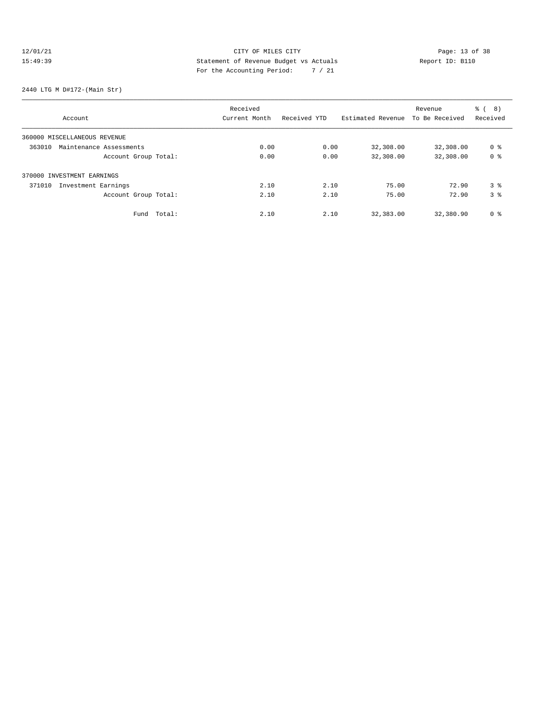## 12/01/21 Page: 13 of 38 CITY OF MILES CITY CHANGES CONTROLLED Page: 13 of 38 15:49:39 Statement of Revenue Budget vs Actuals<br>
The the localistic Revenue Review Contract and the Report ID: B110 For the Accounting Period: 7 / 21

### 2440 LTG M D#172-(Main Str)

|                                   |        | Received      |              |                   | Revenue        | $\frac{6}{6}$ ( 8) |
|-----------------------------------|--------|---------------|--------------|-------------------|----------------|--------------------|
| Account                           |        | Current Month | Received YTD | Estimated Revenue | To Be Received | Received           |
| 360000 MISCELLANEOUS REVENUE      |        |               |              |                   |                |                    |
| 363010<br>Maintenance Assessments |        | 0.00          | 0.00         | 32,308.00         | 32,308.00      | 0 %                |
| Account Group Total:              |        | 0.00          | 0.00         | 32,308.00         | 32,308.00      | 0 <sup>8</sup>     |
| 370000 INVESTMENT EARNINGS        |        |               |              |                   |                |                    |
| Investment Earnings<br>371010     |        | 2.10          | 2.10         | 75.00             | 72.90          | 3 <sup>8</sup>     |
| Account Group Total:              |        | 2.10          | 2.10         | 75.00             | 72.90          | 3 <sup>8</sup>     |
| Fund                              | Total: | 2.10          | 2.10         | 32,383.00         | 32,380.90      | 0 <sup>8</sup>     |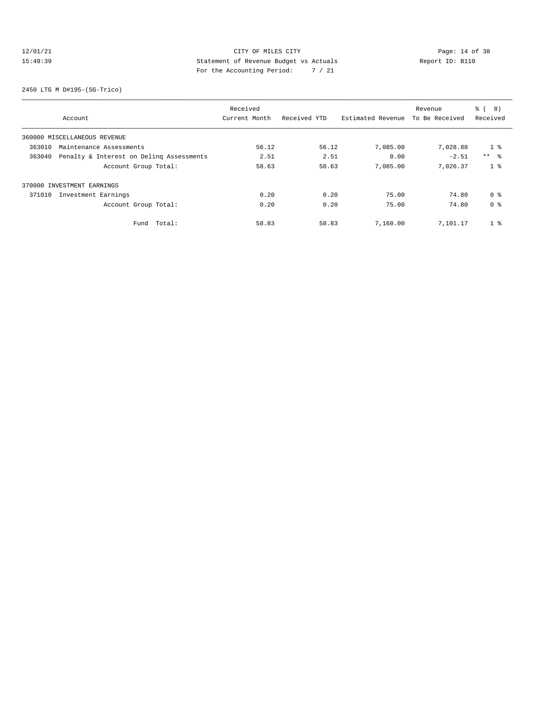## 12/01/21 Page: 14 of 38 15:49:39 Statement of Revenue Budget vs Actuals Report ID: B110 For the Accounting Period: 7 / 21

2450 LTG M D#195-(SG-Trico)

| Account                                            | Received<br>Current Month | Received YTD | Estimated Revenue | Revenue<br>To Be Received | ී (<br>8)<br>Received |
|----------------------------------------------------|---------------------------|--------------|-------------------|---------------------------|-----------------------|
| 360000 MISCELLANEOUS REVENUE                       |                           |              |                   |                           |                       |
| 363010<br>Maintenance Assessments                  | 56.12                     | 56.12        | 7,085.00          | 7,028.88                  | 1 <sup>°</sup>        |
| 363040<br>Penalty & Interest on Deling Assessments | 2.51                      | 2.51         | 0.00              | $-2.51$                   | $***$ $ -$            |
| Account Group Total:                               | 58.63                     | 58.63        | 7,085.00          | 7.026.37                  | 1 <sup>8</sup>        |
| 370000 INVESTMENT EARNINGS                         |                           |              |                   |                           |                       |
| Investment Earnings<br>371010                      | 0.20                      | 0.20         | 75.00             | 74.80                     | 0 %                   |
| Account Group Total:                               | 0.20                      | 0.20         | 75.00             | 74.80                     | 0 %                   |
| Total:<br>Fund                                     | 58.83                     | 58.83        | 7,160.00          | 7,101.17                  | 1 <sup>8</sup>        |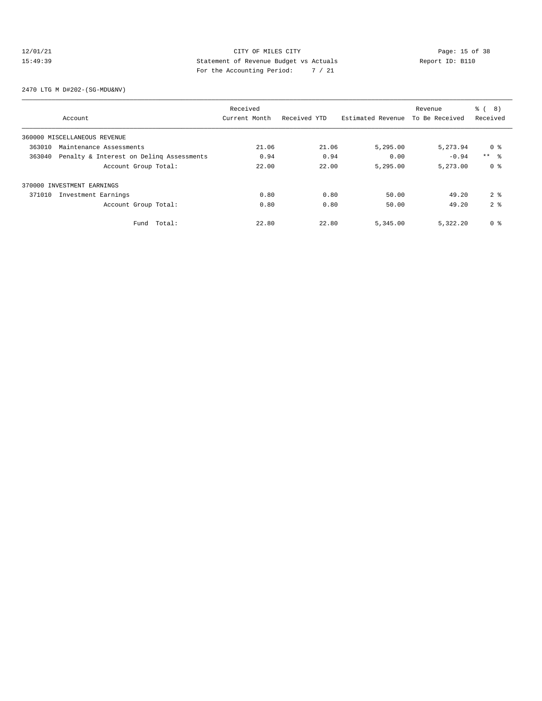## 12/01/21 Page: 15 of 38<br>15:49:39 Statement of Revenue Budget vs Actuals Report ID: B110<br>15:49:39 15:49:39 Statement of Revenue Budget vs Actuals Report ID: B110 For the Accounting Period: 7 / 21

2470 LTG M D#202-(SG-MDU&NV)

| Account                                            | Received<br>Current Month | Received YTD | Estimated Revenue | Revenue<br>To Be Received | ී (<br>8)<br>Received |
|----------------------------------------------------|---------------------------|--------------|-------------------|---------------------------|-----------------------|
| 360000 MISCELLANEOUS REVENUE                       |                           |              |                   |                           |                       |
| 363010<br>Maintenance Assessments                  | 21.06                     | 21.06        | 5,295.00          | 5,273.94                  | 0 %                   |
| 363040<br>Penalty & Interest on Deling Assessments | 0.94                      | 0.94         | 0.00              | $-0.94$                   | $***$ $\approx$       |
| Account Group Total:                               | 22.00                     | 22.00        | 5,295.00          | 5,273.00                  | 0 %                   |
| 370000 INVESTMENT EARNINGS                         |                           |              |                   |                           |                       |
| 371010<br>Investment Earnings                      | 0.80                      | 0.80         | 50.00             | 49.20                     | 2 <sup>8</sup>        |
| Account Group Total:                               | 0.80                      | 0.80         | 50.00             | 49.20                     | 2 <sup>8</sup>        |
| Total:<br>Fund                                     | 22.80                     | 22.80        | 5,345.00          | 5,322.20                  | 0 %                   |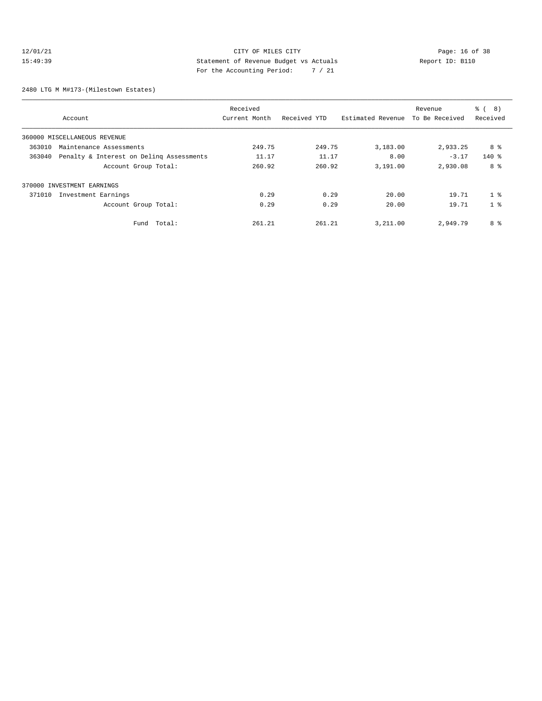## 12/01/21 CITY OF MILES CITY<br>15:49:39 Statement of Revenue Budget vs Actuals<br>15:49:39 Page: 16 of 38 15:49:39 Statement of Revenue Budget vs Actuals Report ID: B110 For the Accounting Period: 7 / 21

2480 LTG M M#173-(Milestown Estates)

| Account                                            | Received<br>Current Month | Received YTD | Estimated Revenue | Revenue<br>To Be Received | ී (<br>8)<br>Received |
|----------------------------------------------------|---------------------------|--------------|-------------------|---------------------------|-----------------------|
| 360000 MISCELLANEOUS REVENUE                       |                           |              |                   |                           |                       |
| 363010<br>Maintenance Assessments                  | 249.75                    | 249.75       | 3,183.00          | 2,933.25                  | 8 %                   |
| 363040<br>Penalty & Interest on Deling Assessments | 11.17                     | 11.17        | 8.00              | $-3.17$                   | $140*$                |
| Account Group Total:                               | 260.92                    | 260.92       | 3,191.00          | 2,930.08                  | 8 %                   |
| 370000 INVESTMENT EARNINGS                         |                           |              |                   |                           |                       |
| Investment Earnings<br>371010                      | 0.29                      | 0.29         | 20.00             | 19.71                     | 1 <sup>8</sup>        |
| Account Group Total:                               | 0.29                      | 0.29         | 20.00             | 19.71                     | 1 <sup>8</sup>        |
| Fund Total:                                        | 261.21                    | 261.21       | 3,211.00          | 2,949.79                  | 8 %                   |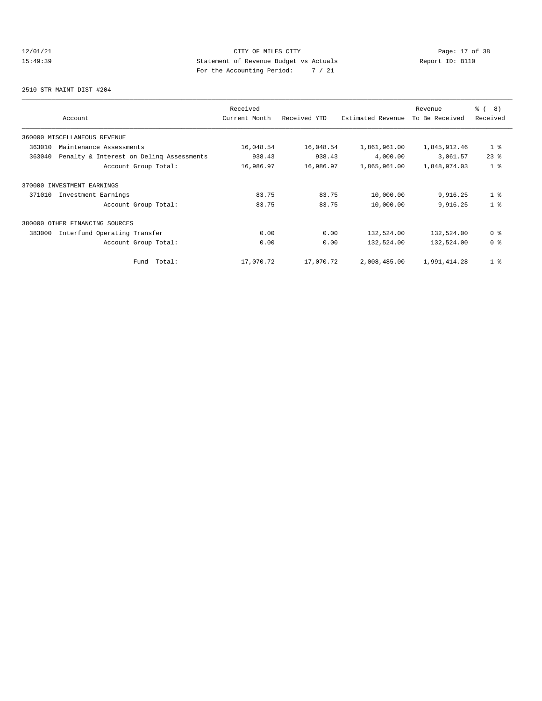## 12/01/21 CITY OF MILES CITY<br>15:49:39 Statement of Revenue Budget vs Actuals Report ID: B110<br>15:49:39 Report ID: B110 15:49:39 Statement of Revenue Budget vs Actuals Report ID: B110 For the Accounting Period: 7 / 21

2510 STR MAINT DIST #204

| Account                                            | Received<br>Current Month | Received YTD | Estimated Revenue | Revenue<br>To Be Received | $\frac{6}{3}$ ( 8)<br>Received |
|----------------------------------------------------|---------------------------|--------------|-------------------|---------------------------|--------------------------------|
| 360000 MISCELLANEOUS REVENUE                       |                           |              |                   |                           |                                |
| 363010<br>Maintenance Assessments                  | 16,048.54                 | 16,048.54    | 1,861,961.00      | 1,845,912.46              | 1 <sup>°</sup>                 |
| 363040<br>Penalty & Interest on Deling Assessments | 938.43                    | 938.43       | 4,000.00          | 3,061.57                  | $23$ $%$                       |
| Account Group Total:                               | 16,986.97                 | 16,986.97    | 1,865,961.00      | 1,848,974.03              | 1 <sup>8</sup>                 |
| 370000 INVESTMENT EARNINGS                         |                           |              |                   |                           |                                |
| Investment Earnings<br>371010                      | 83.75                     | 83.75        | 10,000.00         | 9,916.25                  | 1 <sup>°</sup>                 |
| Account Group Total:                               | 83.75                     | 83.75        | 10,000.00         | 9,916.25                  | 1 <sup>8</sup>                 |
| 380000 OTHER FINANCING SOURCES                     |                           |              |                   |                           |                                |
| 383000<br>Interfund Operating Transfer             | 0.00                      | 0.00         | 132,524.00        | 132,524.00                | 0 %                            |
| Account Group Total:                               | 0.00                      | 0.00         | 132,524.00        | 132,524.00                | 0 <sup>8</sup>                 |
| Total:<br>Fund                                     | 17,070.72                 | 17,070.72    | 2,008,485.00      | 1,991,414.28              | 1 <sup>8</sup>                 |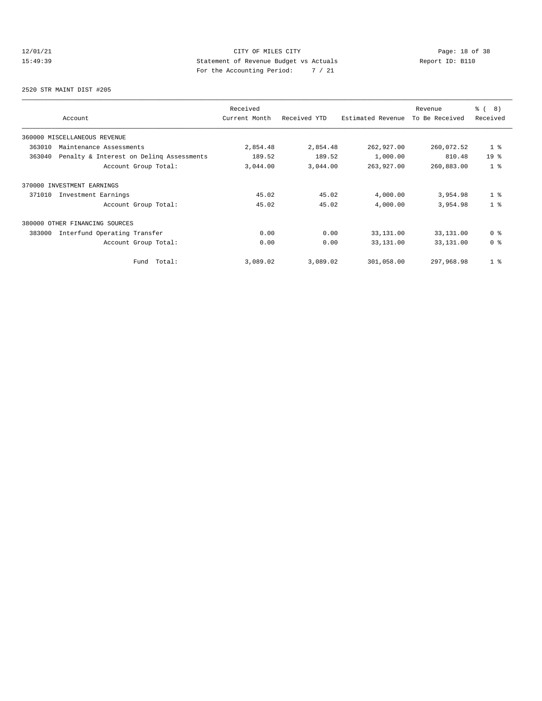## 12/01/21 CITY OF MILES CITY<br>15:49:39 2011 15:49:39 21 21:49:39 21:49:39 21:49:39 21:49:39 21:00 21:00 21:00 21:00 21:00 21:00 21:00 21:00<br>21:00 21:00 21:00 21:00 21:00 21:00 21:00 21:00 21:00 21:00 21:00 21:00 21:00 21:00 15:49:39 Statement of Revenue Budget vs Actuals Report ID: B110 For the Accounting Period: 7 / 21

2520 STR MAINT DIST #205

| Account                                            | Received<br>Current Month | Received YTD | Estimated Revenue | Revenue<br>To Be Received | $\frac{6}{3}$ ( 8)<br>Received |
|----------------------------------------------------|---------------------------|--------------|-------------------|---------------------------|--------------------------------|
| 360000 MISCELLANEOUS REVENUE                       |                           |              |                   |                           |                                |
| 363010<br>Maintenance Assessments                  | 2,854.48                  | 2,854.48     | 262,927.00        | 260,072.52                | $1 \circ$                      |
| 363040<br>Penalty & Interest on Deling Assessments | 189.52                    | 189.52       | 1,000.00          | 810.48                    | $19*$                          |
| Account Group Total:                               | 3,044.00                  | 3,044.00     | 263,927.00        | 260,883.00                | 1 <sup>8</sup>                 |
| 370000 INVESTMENT EARNINGS                         |                           |              |                   |                           |                                |
| 371010<br>Investment Earnings                      | 45.02                     | 45.02        | 4,000.00          | 3,954.98                  | 1 <sup>°</sup>                 |
| Account Group Total:                               | 45.02                     | 45.02        | 4,000.00          | 3,954.98                  | 1 <sup>8</sup>                 |
| 380000 OTHER FINANCING SOURCES                     |                           |              |                   |                           |                                |
| Interfund Operating Transfer<br>383000             | 0.00                      | 0.00         | 33,131.00         | 33,131.00                 | 0 %                            |
| Account Group Total:                               | 0.00                      | 0.00         | 33,131.00         | 33,131.00                 | 0 <sup>8</sup>                 |
| Fund Total:                                        | 3,089.02                  | 3,089.02     | 301,058.00        | 297,968.98                | 1 <sup>8</sup>                 |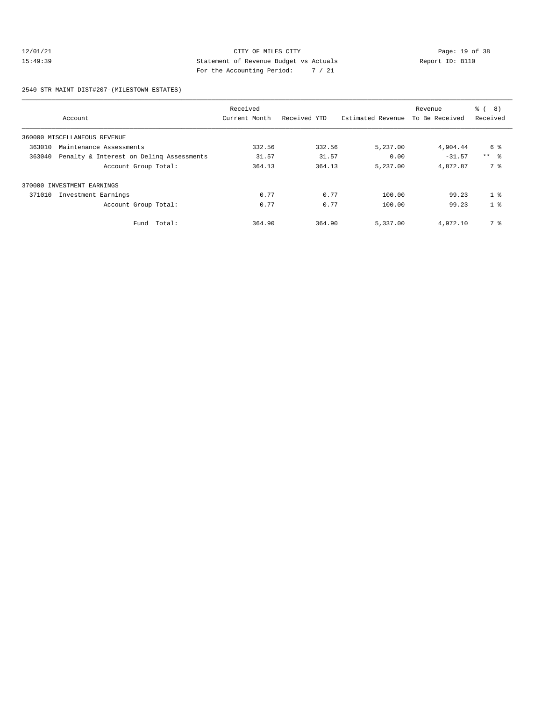## 12/01/21 Page: 19 of 38<br>15:49:39 Statement of Revenue Budget vs Actuals Report ID: B110<br>-15:49:39 Statement of Revenue Budget vs Actuals Report ID: B110 For the Accounting Period: 7 / 21

2540 STR MAINT DIST#207-(MILESTOWN ESTATES)

| Account                                            | Received<br>Current Month | Received YTD | Estimated Revenue | Revenue<br>To Be Received | ී (<br>8)<br>Received |
|----------------------------------------------------|---------------------------|--------------|-------------------|---------------------------|-----------------------|
| 360000 MISCELLANEOUS REVENUE                       |                           |              |                   |                           |                       |
| 363010<br>Maintenance Assessments                  | 332.56                    | 332.56       | 5,237.00          | 4,904.44                  | 6 %                   |
| 363040<br>Penalty & Interest on Deling Assessments | 31.57                     | 31.57        | 0.00              | $-31.57$                  | $***$ $\approx$       |
| Account Group Total:                               | 364.13                    | 364.13       | 5,237.00          | 4,872.87                  | 7 %                   |
| 370000 INVESTMENT EARNINGS                         |                           |              |                   |                           |                       |
| 371010<br>Investment Earnings                      | 0.77                      | 0.77         | 100.00            | 99.23                     | 1 <sup>8</sup>        |
| Account Group Total:                               | 0.77                      | 0.77         | 100.00            | 99.23                     | 1 <sup>8</sup>        |
| Fund Total:                                        | 364.90                    | 364.90       | 5,337.00          | 4,972.10                  | 7 %                   |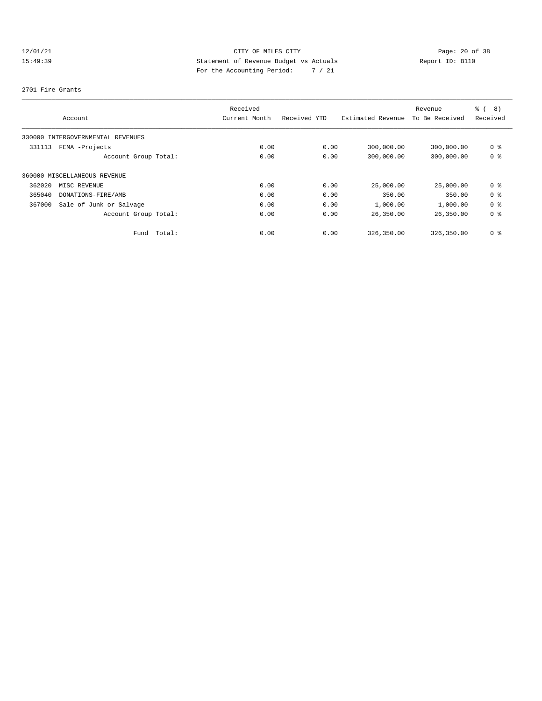## 12/01/21 CITY OF MILES CITY<br>15:49:39 Statement of Revenue Budget vs Actuals<br>15:49:39 Statement of Revenue Budget vs Actuals<br>15:49:39 Report ID: B110 15:49:39 Statement of Revenue Budget vs Actuals Report ID: B110 For the Accounting Period: 7 / 21

### 2701 Fire Grants

|        |                                   |        | Received      |              |                   | Revenue        | $\frac{6}{6}$ (<br>8) |
|--------|-----------------------------------|--------|---------------|--------------|-------------------|----------------|-----------------------|
|        | Account                           |        | Current Month | Received YTD | Estimated Revenue | To Be Received | Received              |
|        | 330000 INTERGOVERNMENTAL REVENUES |        |               |              |                   |                |                       |
| 331113 | FEMA -Projects                    |        | 0.00          | 0.00         | 300,000.00        | 300,000.00     | 0 %                   |
|        | Account Group Total:              |        | 0.00          | 0.00         | 300,000.00        | 300,000.00     | 0 <sup>8</sup>        |
|        | 360000 MISCELLANEOUS REVENUE      |        |               |              |                   |                |                       |
| 362020 | MISC REVENUE                      |        | 0.00          | 0.00         | 25,000.00         | 25,000.00      | 0 %                   |
| 365040 | DONATIONS-FIRE/AMB                |        | 0.00          | 0.00         | 350.00            | 350.00         | 0 %                   |
| 367000 | Sale of Junk or Salvage           |        | 0.00          | 0.00         | 1,000.00          | 1,000.00       | 0 %                   |
|        | Account Group Total:              |        | 0.00          | 0.00         | 26,350.00         | 26,350.00      | 0 %                   |
|        | Fund                              | Total: | 0.00          | 0.00         | 326,350.00        | 326,350.00     | 0 %                   |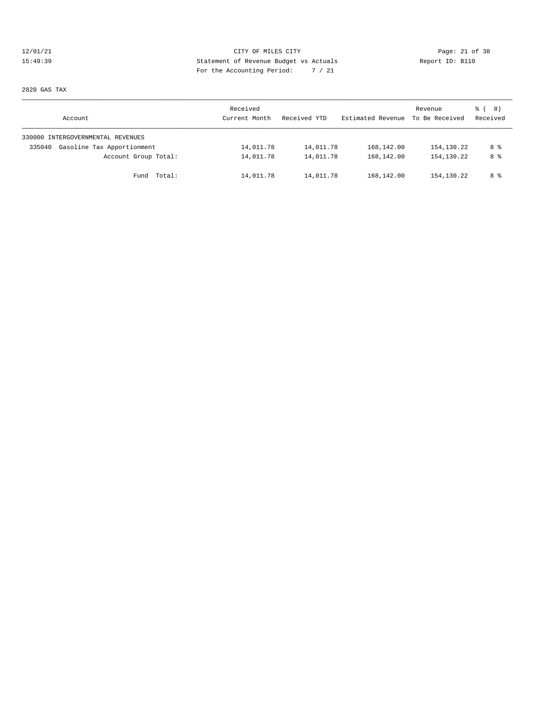## 12/01/21 CITY OF MILES CITY<br>15:49:39 Statement of Revenue Budget vs Actuals<br>15:49:39 Page: 21 of 38<br>15:49:39 Page: 21 of 38 15:49:39 Statement of Revenue Budget vs Actuals Report ID: B110 For the Accounting Period: 7 / 21

2820 GAS TAX

| Account                              | Received<br>Current Month | Received YTD | Estimated Revenue | Revenue<br>To Be Received | <sub>රි</sub> ( 8 )<br>Received |
|--------------------------------------|---------------------------|--------------|-------------------|---------------------------|---------------------------------|
| 330000 INTERGOVERNMENTAL REVENUES    |                           |              |                   |                           |                                 |
| Gasoline Tax Apportionment<br>335040 | 14,011.78                 | 14,011.78    | 168,142.00        | 154,130.22                | 8 %                             |
| Account Group Total:                 | 14,011.78                 | 14,011.78    | 168,142.00        | 154,130.22                | 8 %                             |
| Fund Total:                          | 14,011.78                 | 14,011.78    | 168,142.00        | 154,130.22                | 8 %                             |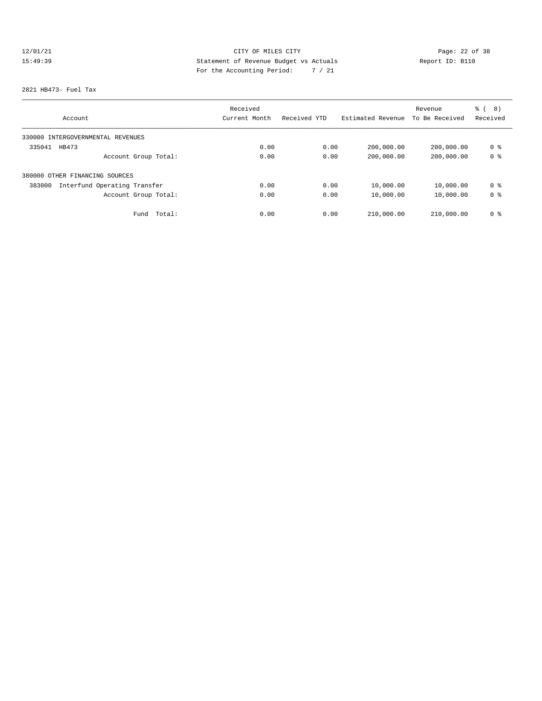## 12/01/21 Page: 22 of 38 15:49:39 Statement of Revenue Budget vs Actuals Report ID: B110 For the Accounting Period: 7 / 21

### 2821 HB473- Fuel Tax

|                                        | Received      |              |                   | Revenue        | $\frac{6}{6}$ ( 8) |
|----------------------------------------|---------------|--------------|-------------------|----------------|--------------------|
| Account                                | Current Month | Received YTD | Estimated Revenue | To Be Received | Received           |
| 330000 INTERGOVERNMENTAL REVENUES      |               |              |                   |                |                    |
| 335041<br>HB473                        | 0.00          | 0.00         | 200,000.00        | 200,000.00     | 0 %                |
| Account Group Total:                   | 0.00          | 0.00         | 200,000.00        | 200,000.00     | 0 <sup>8</sup>     |
| 380000 OTHER FINANCING SOURCES         |               |              |                   |                |                    |
| Interfund Operating Transfer<br>383000 | 0.00          | 0.00         | 10,000.00         | 10,000.00      | 0 %                |
| Account Group Total:                   | 0.00          | 0.00         | 10,000.00         | 10,000.00      | 0 %                |
| Fund<br>Total:                         | 0.00          | 0.00         | 210,000.00        | 210,000.00     | 0 %                |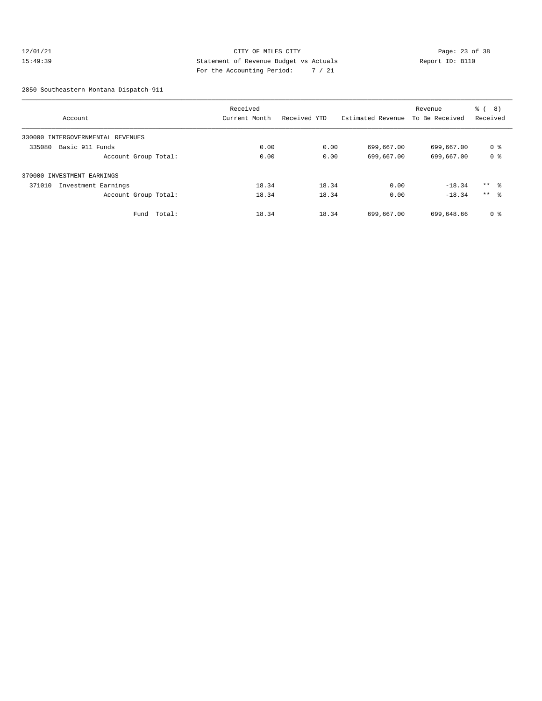## 12/01/21 Page: 23 of 38 15:49:39 Statement of Revenue Budget vs Actuals Report ID: B110 For the Accounting Period: 7 / 21

2850 Southeastern Montana Dispatch-911

| Account                           |        | Received<br>Current Month | Received YTD | Estimated Revenue | Revenue<br>To Be Received | $\frac{6}{6}$ ( 8 )<br>Received |
|-----------------------------------|--------|---------------------------|--------------|-------------------|---------------------------|---------------------------------|
|                                   |        |                           |              |                   |                           |                                 |
| 330000 INTERGOVERNMENTAL REVENUES |        |                           |              |                   |                           |                                 |
| Basic 911 Funds<br>335080         |        | 0.00                      | 0.00         | 699,667.00        | 699,667.00                | 0 %                             |
| Account Group Total:              |        | 0.00                      | 0.00         | 699,667.00        | 699,667.00                | 0 %                             |
| 370000 INVESTMENT EARNINGS        |        |                           |              |                   |                           |                                 |
| Investment Earnings<br>371010     |        | 18.34                     | 18.34        | 0.00              | $-18.34$                  | $***$ $\approx$                 |
| Account Group Total:              |        | 18.34                     | 18.34        | 0.00              | $-18.34$                  | ** %                            |
| Fund                              | Total: | 18.34                     | 18.34        | 699,667.00        | 699,648.66                | 0 %                             |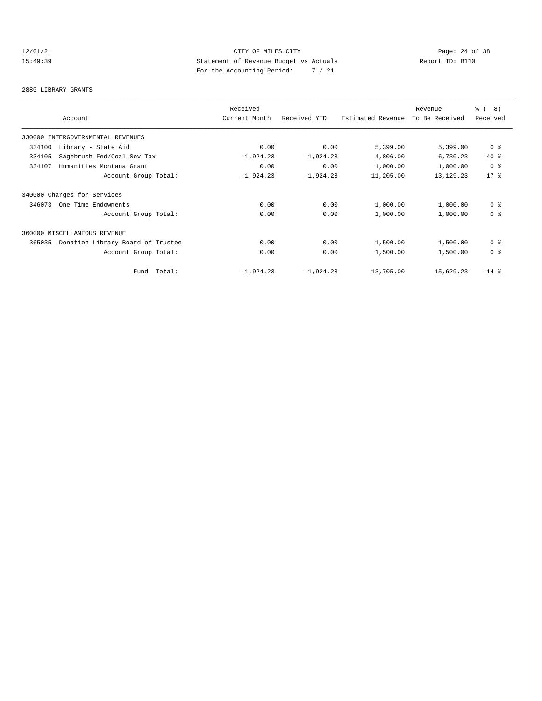## 12/01/21 CITY OF MILES CITY<br>15:49:39 Statement of Revenue Budget vs Actuals<br>15:49:39 Statement of Revenue Budget vs Actuals<br>15:49:39 Report ID: B110 15:49:39 Statement of Revenue Budget vs Actuals Report ID: B110 For the Accounting Period: 7 / 21

### 2880 LIBRARY GRANTS

|                                             |             | Received      |              |                   | Revenue        | $\frac{6}{3}$ ( 8) |
|---------------------------------------------|-------------|---------------|--------------|-------------------|----------------|--------------------|
| Account                                     |             | Current Month | Received YTD | Estimated Revenue | To Be Received | Received           |
| 330000 INTERGOVERNMENTAL REVENUES           |             |               |              |                   |                |                    |
| 334100<br>Library - State Aid               |             | 0.00          | 0.00         | 5,399.00          | 5,399.00       | 0 <sup>8</sup>     |
| 334105<br>Sagebrush Fed/Coal Sev Tax        |             | $-1,924.23$   | $-1,924.23$  | 4,806.00          | 6,730.23       | $-40$ %            |
| Humanities Montana Grant<br>334107          |             | 0.00          | 0.00         | 1,000.00          | 1,000.00       | 0 <sup>8</sup>     |
| Account Group Total:                        |             | $-1,924.23$   | $-1,924.23$  | 11,205.00         | 13, 129. 23    | $-17$ %            |
| 340000 Charges for Services                 |             |               |              |                   |                |                    |
| 346073<br>One Time Endowments               |             | 0.00          | 0.00         | 1,000.00          | 1,000.00       | 0 %                |
| Account Group Total:                        |             | 0.00          | 0.00         | 1,000.00          | 1,000.00       | 0 %                |
| 360000 MISCELLANEOUS REVENUE                |             |               |              |                   |                |                    |
| Donation-Library Board of Trustee<br>365035 |             | 0.00          | 0.00         | 1,500.00          | 1,500.00       | 0 %                |
| Account Group Total:                        |             | 0.00          | 0.00         | 1,500.00          | 1,500.00       | 0 %                |
|                                             | Fund Total: | $-1,924.23$   | $-1,924.23$  | 13,705.00         | 15,629.23      | $-14$ %            |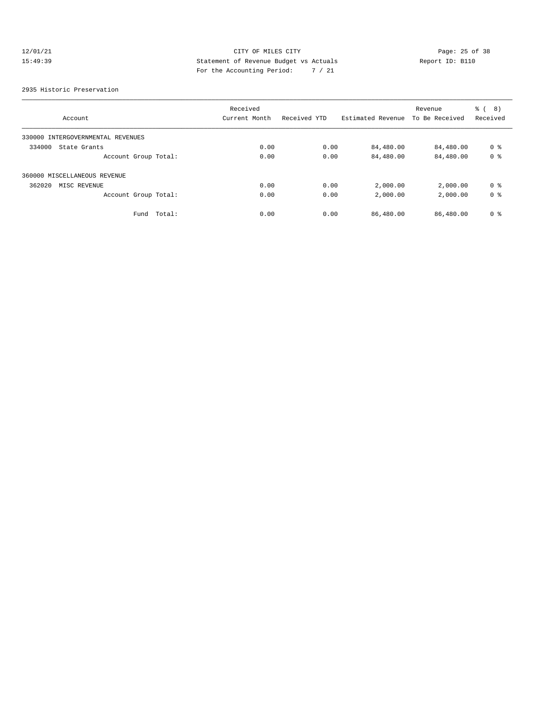## 12/01/21 CITY OF MILES CITY<br>15:49:39 Statement of Revenue Budget vs Actuals<br>15:49:39 Statement of Revenue Budget vs Actuals<br>15:49:39 Report ID: B110 15:49:39 Statement of Revenue Budget vs Actuals Report ID: B110 For the Accounting Period: 7 / 21

#### 2935 Historic Preservation

|                                   | Received      |              |                   | Revenue        | ී (<br>8)      |
|-----------------------------------|---------------|--------------|-------------------|----------------|----------------|
| Account                           | Current Month | Received YTD | Estimated Revenue | To Be Received | Received       |
| 330000 INTERGOVERNMENTAL REVENUES |               |              |                   |                |                |
| 334000<br>State Grants            | 0.00          | 0.00         | 84,480.00         | 84,480.00      | 0 %            |
| Account Group Total:              | 0.00          | 0.00         | 84,480.00         | 84,480.00      | 0 <sup>8</sup> |
| 360000 MISCELLANEOUS REVENUE      |               |              |                   |                |                |
| 362020<br>MISC REVENUE            | 0.00          | 0.00         | 2,000.00          | 2,000.00       | 0 %            |
| Account Group Total:              | 0.00          | 0.00         | 2,000.00          | 2,000.00       | 0 %            |
| Total:<br>Fund                    | 0.00          | 0.00         | 86,480.00         | 86,480.00      | 0 %            |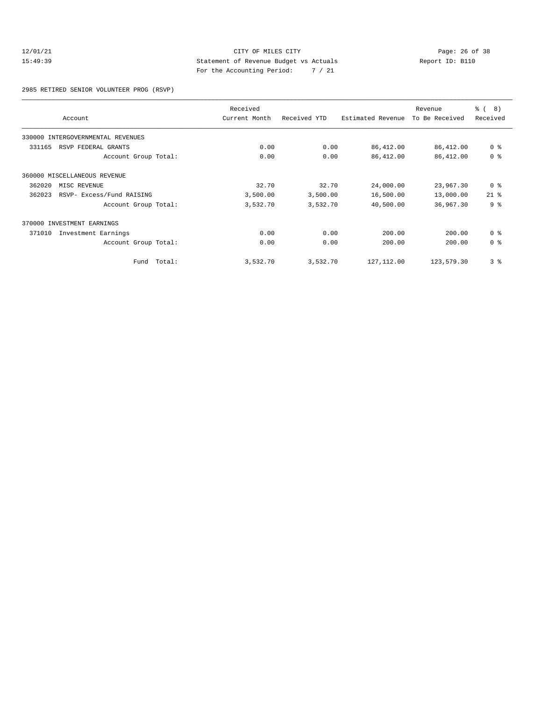## 12/01/21 CITY OF MILES CITY CHE CITY CONSIDER THE Page: 26 of 38<br>15:49:39 Statement of Revenue Budget vs Actuals Report ID: B110 15:49:39 Statement of Revenue Budget vs Actuals Report ID: B110 For the Accounting Period: 7 / 21

2985 RETIRED SENIOR VOLUNTEER PROG (RSVP)

| Account                             | Received<br>Current Month | Received YTD | Estimated Revenue | Revenue<br>To Be Received | $\frac{6}{3}$ ( 8)<br>Received |
|-------------------------------------|---------------------------|--------------|-------------------|---------------------------|--------------------------------|
| 330000 INTERGOVERNMENTAL REVENUES   |                           |              |                   |                           |                                |
| 331165<br>RSVP FEDERAL GRANTS       | 0.00                      | 0.00         | 86,412.00         | 86,412.00                 | 0 <sup>8</sup>                 |
| Account Group Total:                | 0.00                      | 0.00         | 86,412.00         | 86,412.00                 | 0 <sup>8</sup>                 |
| 360000 MISCELLANEOUS REVENUE        |                           |              |                   |                           |                                |
| 362020<br>MISC REVENUE              | 32.70                     | 32.70        | 24,000.00         | 23,967.30                 | 0 <sup>8</sup>                 |
| 362023<br>RSVP- Excess/Fund RAISING | 3,500.00                  | 3,500.00     | 16,500.00         | 13,000.00                 | $21*$                          |
| Account Group Total:                | 3,532.70                  | 3,532.70     | 40,500.00         | 36,967.30                 | 9 <sup>8</sup>                 |
| 370000 INVESTMENT EARNINGS          |                           |              |                   |                           |                                |
| 371010<br>Investment Earnings       | 0.00                      | 0.00         | 200.00            | 200.00                    | 0 <sup>8</sup>                 |
| Account Group Total:                | 0.00                      | 0.00         | 200.00            | 200.00                    | 0 <sup>8</sup>                 |
| Total:<br>Fund                      | 3,532.70                  | 3,532.70     | 127, 112.00       | 123,579.30                | 3%                             |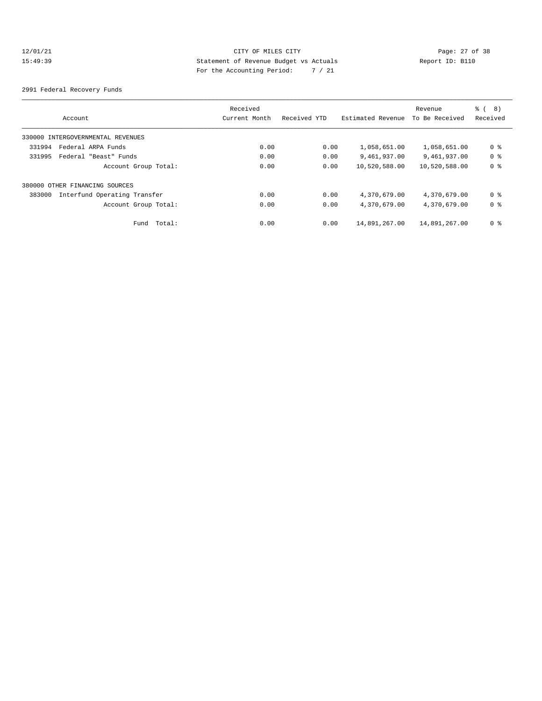## 12/01/21 Page: 27 of 38<br>15:49:39 Statement of Revenue Budget vs Actuals Report ID: B110<br>15:49:39 15:49:39 Statement of Revenue Budget vs Actuals Report ID: B110 For the Accounting Period: 7 / 21

2991 Federal Recovery Funds

| Account                                | Received<br>Current Month | Received YTD | Estimated Revenue | Revenue<br>To Be Received | ී (<br>8)<br>Received |
|----------------------------------------|---------------------------|--------------|-------------------|---------------------------|-----------------------|
| 330000 INTERGOVERNMENTAL REVENUES      |                           |              |                   |                           |                       |
| 331994<br>Federal ARPA Funds           | 0.00                      | 0.00         | 1,058,651.00      | 1,058,651.00              | 0 %                   |
| 331995<br>Federal "Beast" Funds        | 0.00                      | 0.00         | 9,461,937.00      | 9,461,937.00              | 0 %                   |
| Account Group Total:                   | 0.00                      | 0.00         | 10,520,588.00     | 10,520,588.00             | 0 %                   |
| 380000 OTHER FINANCING SOURCES         |                           |              |                   |                           |                       |
| 383000<br>Interfund Operating Transfer | 0.00                      | 0.00         | 4,370,679.00      | 4,370,679.00              | 0 %                   |
| Account Group Total:                   | 0.00                      | 0.00         | 4,370,679.00      | 4,370,679.00              | 0 %                   |
| Fund Total:                            | 0.00                      | 0.00         | 14,891,267.00     | 14,891,267.00             | 0 %                   |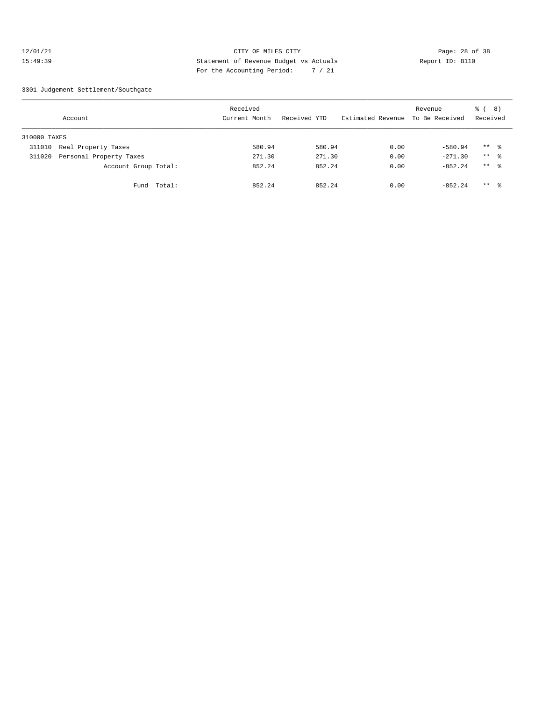## 12/01/21 Page: 28 of 38 15:49:39 Statement of Revenue Budget vs Actuals Report ID: B110 For the Accounting Period: 7 / 21

3301 Judgement Settlement/Southgate

|              | Account                 |        | Received<br>Current Month |        | Received YTD |        | Estimated Revenue | Revenue<br>To Be Received | $\frac{6}{6}$ ( 8 )<br>Received |                     |  |
|--------------|-------------------------|--------|---------------------------|--------|--------------|--------|-------------------|---------------------------|---------------------------------|---------------------|--|
| 310000 TAXES |                         |        |                           |        |              |        |                   |                           |                                 |                     |  |
| 311010       | Real Property Taxes     |        |                           | 580.94 |              | 580.94 |                   | 0.00                      | $-580.94$                       | $***$ $\frac{6}{6}$ |  |
| 311020       | Personal Property Taxes |        |                           | 271.30 |              | 271.30 |                   | 0.00                      | $-271.30$                       | $***$ $\approx$     |  |
|              | Account Group Total:    |        |                           | 852.24 |              | 852.24 |                   | 0.00                      | $-852.24$                       | $***$ $\frac{6}{6}$ |  |
|              | Fund                    | Total: |                           | 852.24 |              | 852.24 |                   | 0.00                      | $-852.24$                       | $***$ $\frac{6}{5}$ |  |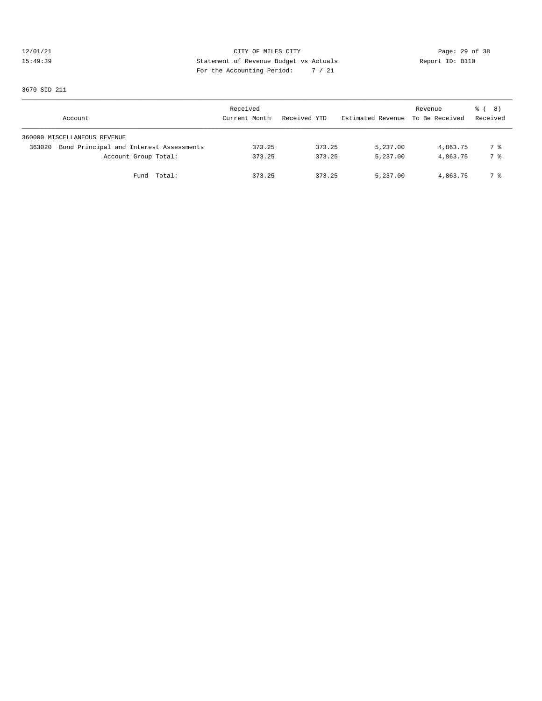## 12/01/21 Page: 29 of 38<br>15:49:39 Statement of Revenue Budget vs Actuals Report ID: B110<br>15:49:39 15:49:39 Statement of Revenue Budget vs Actuals Report ID: B110 For the Accounting Period: 7 / 21

3670 SID 211

|        | Account                                 | Received<br>Current Month | Received YTD | Estimated Revenue To Be Received | Revenue  | <sub>රි</sub> ( 8 )<br>Received |
|--------|-----------------------------------------|---------------------------|--------------|----------------------------------|----------|---------------------------------|
|        | 360000 MISCELLANEOUS REVENUE            |                           |              |                                  |          |                                 |
| 363020 | Bond Principal and Interest Assessments | 373.25                    | 373.25       | 5,237.00                         | 4,863.75 | 7 %                             |
|        | Account Group Total:                    | 373.25                    | 373.25       | 5,237.00                         | 4,863.75 | 7 %                             |
|        | Fund Total:                             | 373.25                    | 373.25       | 5,237.00                         | 4,863.75 | 7 %                             |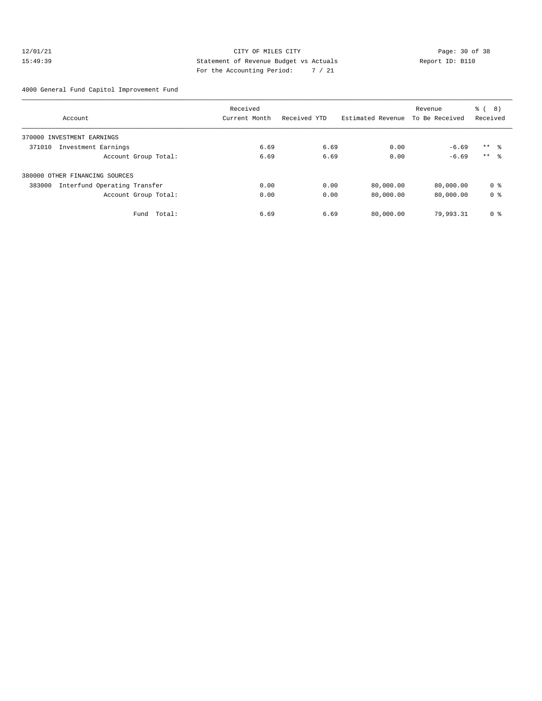## 12/01/21 **CITY OF MILES CITY CITY CITY Page: 30 of 38** 15:49:39 Statement of Revenue Budget vs Actuals Report ID: B110 For the Accounting Period: 7 / 21

4000 General Fund Capitol Improvement Fund

|                                        | Received      |              |                   | Revenue        | ී (<br>8)       |
|----------------------------------------|---------------|--------------|-------------------|----------------|-----------------|
| Account                                | Current Month | Received YTD | Estimated Revenue | To Be Received | Received        |
| 370000 INVESTMENT EARNINGS             |               |              |                   |                |                 |
| Investment Earnings<br>371010          | 6.69          | 6.69         | 0.00              | $-6.69$        | $***$ $\approx$ |
| Account Group Total:                   | 6.69          | 6.69         | 0.00              | $-6.69$        | $***$ 2         |
| 380000 OTHER FINANCING SOURCES         |               |              |                   |                |                 |
| Interfund Operating Transfer<br>383000 | 0.00          | 0.00         | 80,000.00         | 80,000.00      | 0 %             |
| Account Group Total:                   | 0.00          | 0.00         | 80,000.00         | 80,000.00      | 0 %             |
| Total:<br>Fund                         | 6.69          | 6.69         | 80,000.00         | 79,993.31      | 0 <sup>8</sup>  |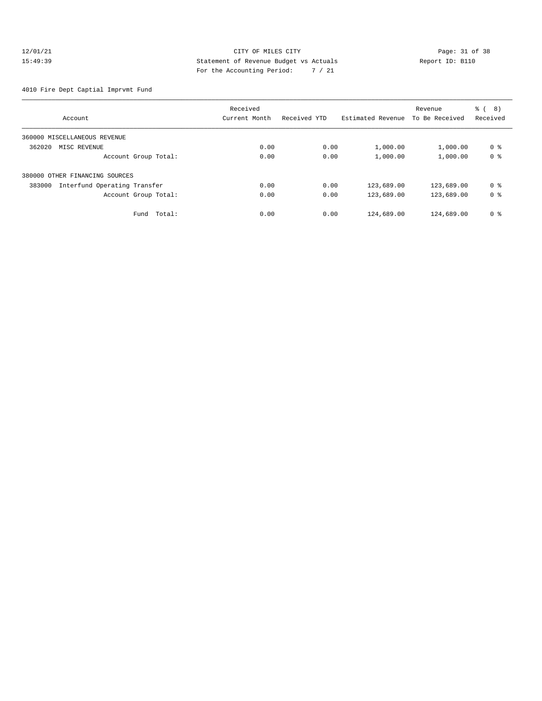## 12/01/21 Page: 31 of 38<br>15:49:39 Statement of Revenue Budget vs Actuals Report ID: B110<br>15:49:39 15:49:39 Statement of Revenue Budget vs Actuals Report ID: B110 For the Accounting Period: 7 / 21

4010 Fire Dept Captial Imprvmt Fund

|                                        | Received      |              |                   | Revenue        | 8)<br>ී ( |
|----------------------------------------|---------------|--------------|-------------------|----------------|-----------|
| Account                                | Current Month | Received YTD | Estimated Revenue | To Be Received | Received  |
| 360000 MISCELLANEOUS REVENUE           |               |              |                   |                |           |
| 362020<br>MISC REVENUE                 | 0.00          | 0.00         | 1,000.00          | 1,000.00       | 0 %       |
| Account Group Total:                   | 0.00          | 0.00         | 1,000.00          | 1,000.00       | 0 %       |
| 380000 OTHER FINANCING SOURCES         |               |              |                   |                |           |
| Interfund Operating Transfer<br>383000 | 0.00          | 0.00         | 123,689.00        | 123,689.00     | 0 %       |
| Account Group Total:                   | 0.00          | 0.00         | 123,689.00        | 123,689.00     | 0 %       |
| Total:<br>Fund                         | 0.00          | 0.00         | 124,689.00        | 124,689.00     | 0 %       |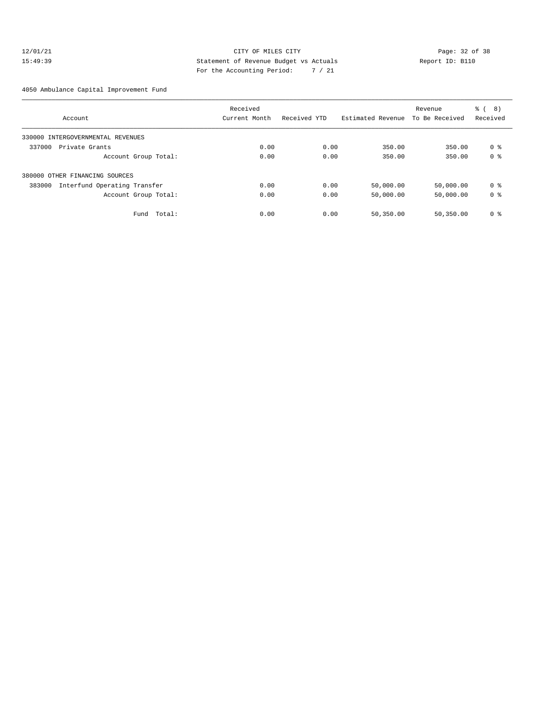## 12/01/21 Page: 32 of 38 15:49:39 Statement of Revenue Budget vs Actuals Report ID: B110 For the Accounting Period: 7 / 21

4050 Ambulance Capital Improvement Fund

|                                        | Received      |              |                   | Revenue        | $\frac{6}{6}$ ( 8) |
|----------------------------------------|---------------|--------------|-------------------|----------------|--------------------|
| Account                                | Current Month | Received YTD | Estimated Revenue | To Be Received | Received           |
| 330000 INTERGOVERNMENTAL REVENUES      |               |              |                   |                |                    |
| 337000<br>Private Grants               | 0.00          | 0.00         | 350.00            | 350.00         | 0 <sup>8</sup>     |
| Account Group Total:                   | 0.00          | 0.00         | 350.00            | 350.00         | 0 <sup>8</sup>     |
| 380000 OTHER FINANCING SOURCES         |               |              |                   |                |                    |
| Interfund Operating Transfer<br>383000 | 0.00          | 0.00         | 50,000.00         | 50,000.00      | 0 <sup>8</sup>     |
| Account Group Total:                   | 0.00          | 0.00         | 50,000.00         | 50,000.00      | 0 <sup>8</sup>     |
| Total:<br>Fund                         | 0.00          | 0.00         | 50,350.00         | 50,350.00      | 0 <sup>8</sup>     |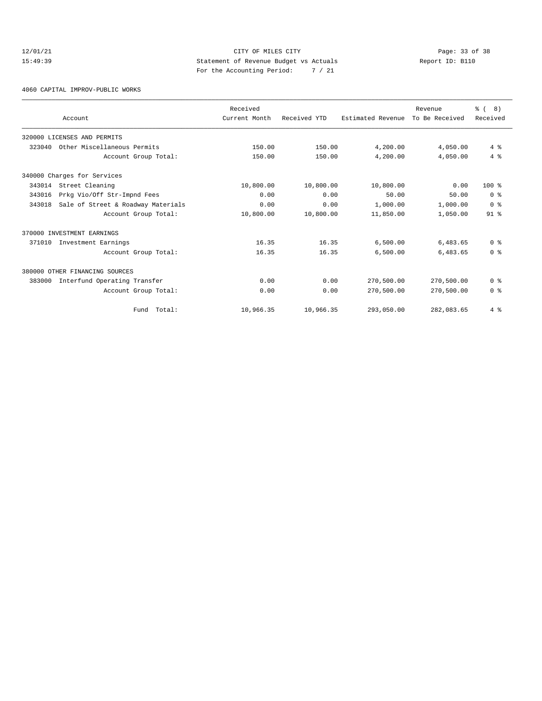## 12/01/21 Page: 33 of 38 15:49:39 Statement of Revenue Budget vs Actuals Report ID: B110 For the Accounting Period: 7 / 21

4060 CAPITAL IMPROV-PUBLIC WORKS

|        | Account                            | Received<br>Current Month<br>Received YTD |           | Estimated Revenue | Revenue<br>To Be Received | $\frac{6}{6}$ ( 8)<br>Received |
|--------|------------------------------------|-------------------------------------------|-----------|-------------------|---------------------------|--------------------------------|
|        | 320000 LICENSES AND PERMITS        |                                           |           |                   |                           |                                |
| 323040 | Other Miscellaneous Permits        | 150.00                                    | 150.00    | 4,200.00          | 4,050.00                  | 4%                             |
|        | Account Group Total:               | 150.00                                    | 150.00    | 4,200.00          | 4,050.00                  | 4%                             |
|        | 340000 Charges for Services        |                                           |           |                   |                           |                                |
| 343014 | Street Cleaning                    | 10,800.00                                 | 10,800.00 | 10,800.00         | 0.00                      | $100*$                         |
| 343016 | Prkg Vio/Off Str-Impnd Fees        | 0.00                                      | 0.00      | 50.00             | 50.00                     | 0 <sup>8</sup>                 |
| 343018 | Sale of Street & Roadway Materials | 0.00                                      | 0.00      | 1,000.00          | 1,000.00                  | 0 <sup>8</sup>                 |
|        | Account Group Total:               | 10,800.00                                 | 10,800.00 | 11,850.00         | 1,050.00                  | 91 <sup>°</sup>                |
|        | 370000 INVESTMENT EARNINGS         |                                           |           |                   |                           |                                |
| 371010 | Investment Earnings                | 16.35                                     | 16.35     | 6,500.00          | 6,483.65                  | 0 <sup>8</sup>                 |
|        | Account Group Total:               | 16.35                                     | 16.35     | 6,500.00          | 6,483.65                  | 0 <sup>8</sup>                 |
|        | 380000 OTHER FINANCING SOURCES     |                                           |           |                   |                           |                                |
| 383000 | Interfund Operating Transfer       | 0.00                                      | 0.00      | 270,500.00        | 270,500.00                | 0 <sup>8</sup>                 |
|        | Account Group Total:               | 0.00                                      | 0.00      | 270,500.00        | 270,500.00                | 0 <sup>8</sup>                 |
|        | Fund Total:                        | 10,966.35                                 | 10,966.35 | 293,050.00        | 282,083.65                | 4%                             |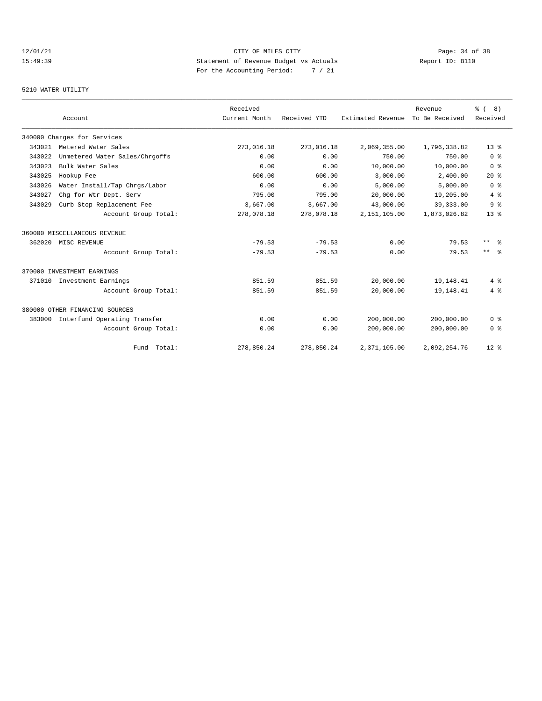## $12/01/21$  Page: 34 of 38<br>15:49:39 Statement of Revenue Budget vs Actuals Report ID: B110 15:49:39 Statement of Revenue Budget vs Actuals Report ID: B110 For the Accounting Period: 7 / 21

## 5210 WATER UTILITY

|        |                                |                      | Received      |              |                   | Revenue        | $\frac{6}{6}$ ( 8) |  |
|--------|--------------------------------|----------------------|---------------|--------------|-------------------|----------------|--------------------|--|
|        | Account                        |                      | Current Month | Received YTD | Estimated Revenue | To Be Received | Received           |  |
|        | 340000 Charges for Services    |                      |               |              |                   |                |                    |  |
| 343021 | Metered Water Sales            |                      | 273,016.18    | 273,016.18   | 2,069,355.00      | 1,796,338.82   | 13 <sup>8</sup>    |  |
| 343022 | Unmetered Water Sales/Chrgoffs |                      | 0.00          | 0.00         | 750.00            | 750.00         | 0 <sup>8</sup>     |  |
| 343023 | Bulk Water Sales               |                      | 0.00          | 0.00         | 10,000.00         | 10,000.00      | 0 <sup>8</sup>     |  |
| 343025 | Hookup Fee                     |                      | 600.00        | 600.00       | 3,000.00          | 2,400.00       | $20*$              |  |
| 343026 | Water Install/Tap Chrgs/Labor  |                      | 0.00          | 0.00         | 5,000.00          | 5,000.00       | 0 <sup>8</sup>     |  |
| 343027 | Chq for Wtr Dept. Serv         |                      | 795.00        | 795.00       | 20,000.00         | 19,205.00      | 4%                 |  |
| 343029 | Curb Stop Replacement Fee      |                      | 3,667.00      | 3,667.00     | 43,000.00         | 39, 333.00     | 9 <sup>°</sup>     |  |
|        |                                | Account Group Total: | 278,078.18    | 278,078.18   | 2,151,105.00      | 1,873,026.82   | $13*$              |  |
|        | 360000 MISCELLANEOUS REVENUE   |                      |               |              |                   |                |                    |  |
|        | 362020 MISC REVENUE            |                      | $-79.53$      | $-79.53$     | 0.00              | 79.53          | $***$ $=$          |  |
|        |                                | Account Group Total: | $-79.53$      | $-79.53$     | 0.00              | 79.53          | $***$ $ -$         |  |
|        | 370000 INVESTMENT EARNINGS     |                      |               |              |                   |                |                    |  |
| 371010 | Investment Earnings            |                      | 851.59        | 851.59       | 20,000.00         | 19,148.41      | 4%                 |  |
|        |                                | Account Group Total: | 851.59        | 851.59       | 20,000.00         | 19,148.41      | 4%                 |  |
|        | 380000 OTHER FINANCING SOURCES |                      |               |              |                   |                |                    |  |
| 383000 | Interfund Operating Transfer   |                      | 0.00          | 0.00         | 200,000.00        | 200,000.00     | 0 <sup>8</sup>     |  |
|        |                                | Account Group Total: | 0.00          | 0.00         | 200,000.00        | 200,000.00     | 0 <sup>8</sup>     |  |
|        |                                | Fund Total:          | 278,850.24    | 278,850.24   | 2,371,105.00      | 2,092,254.76   | $12*$              |  |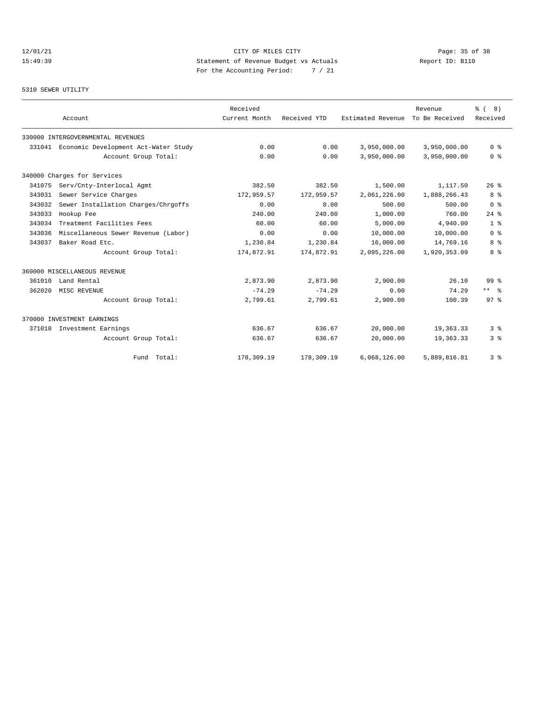## $12/01/21$  Page: 35 of 38<br>15:49:39 21 21:49:39 21 21:49:39 21 21:49:39 21:49:39 21:49:39 21:49:39 21:49:39 21:49:39 21:49:39 21:49:49 21:49:49 21:49:49 21:49:49 21:49:49 21:49:49 21:49:49 21:49:49 21:49:49 21:49:49 21:49: 15:49:39 Statement of Revenue Budget vs Actuals Report ID: B110 For the Accounting Period: 7 / 21

## 5310 SEWER UTILITY

|        | Account                                     |                      | Received<br>Current Month | Received YTD | Estimated Revenue | Revenue<br>To Be Received | $\frac{6}{6}$ ( 8)<br>Received |
|--------|---------------------------------------------|----------------------|---------------------------|--------------|-------------------|---------------------------|--------------------------------|
|        | 330000 INTERGOVERNMENTAL REVENUES           |                      |                           |              |                   |                           |                                |
|        | 331041 Economic Development Act-Water Study |                      | 0.00                      | 0.00         | 3,950,000.00      | 3,950,000.00              | 0 <sup>8</sup>                 |
|        |                                             | Account Group Total: | 0.00                      | 0.00         | 3,950,000.00      | 3,950,000.00              | 0 <sup>8</sup>                 |
|        | 340000 Charges for Services                 |                      |                           |              |                   |                           |                                |
| 341075 | Serv/Cnty-Interlocal Agmt                   |                      | 382.50                    | 382.50       | 1,500.00          | 1,117.50                  | $26*$                          |
| 343031 | Sewer Service Charges                       |                      | 172,959.57                | 172,959.57   | 2,061,226.00      | 1,888,266.43              | 8 <sup>8</sup>                 |
| 343032 | Sewer Installation Charges/Chrgoffs         |                      | 0.00                      | 0.00         | 500.00            | 500.00                    | 0 <sup>8</sup>                 |
| 343033 | Hookup Fee                                  |                      | 240.00                    | 240.00       | 1,000.00          | 760.00                    | $24$ $%$                       |
| 343034 | Treatment Facilities Fees                   |                      | 60.00                     | 60.00        | 5,000.00          | 4,940.00                  | 1 <sup>8</sup>                 |
| 343036 | Miscellaneous Sewer Revenue (Labor)         |                      | 0.00                      | 0.00         | 10,000.00         | 10,000.00                 | 0 <sup>8</sup>                 |
| 343037 | Baker Road Etc.                             |                      | 1,230.84                  | 1,230.84     | 16,000.00         | 14,769.16                 | 8 %                            |
|        |                                             | Account Group Total: | 174,872.91                | 174,872.91   | 2,095,226.00      | 1,920,353.09              | 8 %                            |
|        | 360000 MISCELLANEOUS REVENUE                |                      |                           |              |                   |                           |                                |
| 361010 | Land Rental                                 |                      | 2,873.90                  | 2,873.90     | 2,900.00          | 26.10                     | $99*$                          |
| 362020 | MISC REVENUE                                |                      | $-74.29$                  | $-74.29$     | 0.00              | 74.29                     | $***$ $%$                      |
|        |                                             | Account Group Total: | 2,799.61                  | 2,799.61     | 2,900.00          | 100.39                    | 97 <sup>8</sup>                |
|        | 370000 INVESTMENT EARNINGS                  |                      |                           |              |                   |                           |                                |
| 371010 | Investment Earnings                         |                      | 636.67                    | 636.67       | 20,000.00         | 19, 363, 33               | 3 <sup>8</sup>                 |
|        |                                             | Account Group Total: | 636.67                    | 636.67       | 20,000.00         | 19,363.33                 | 3 <sup>8</sup>                 |
|        |                                             | Fund Total:          | 178,309.19                | 178,309.19   | 6,068,126.00      | 5,889,816.81              | 3 <sup>8</sup>                 |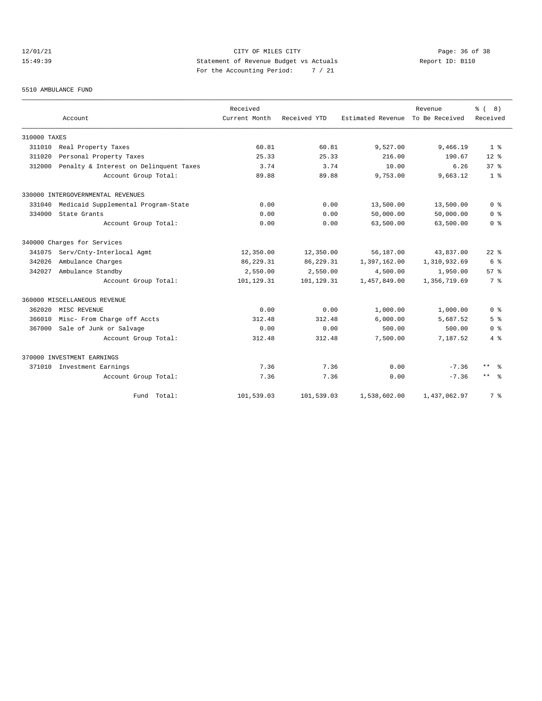## 12/01/21 Page: 36 of 38 15:49:39 Statement of Revenue Budget vs Actuals Report ID: B110 For the Accounting Period: 7 / 21

### 5510 AMBULANCE FUND

|              | Account                                | Received<br>Current Month | Received YTD | Estimated Revenue | Revenue<br>To Be Received | 8)<br>ී (<br>Received   |  |
|--------------|----------------------------------------|---------------------------|--------------|-------------------|---------------------------|-------------------------|--|
| 310000 TAXES |                                        |                           |              |                   |                           |                         |  |
| 311010       | Real Property Taxes                    | 60.81                     | 60.81        | 9,527.00          | 9,466.19                  | 1 <sup>8</sup>          |  |
| 311020       | Personal Property Taxes                | 25.33                     | 25.33        | 216.00            | 190.67                    | $12*$                   |  |
| 312000       | Penalty & Interest on Delinquent Taxes | 3.74                      | 3.74         | 10.00             | 6.26                      | 37 <sup>8</sup>         |  |
|              | Account Group Total:                   | 89.88                     | 89.88        | 9,753.00          | 9,663.12                  | 1 <sup>8</sup>          |  |
|              | 330000 INTERGOVERNMENTAL REVENUES      |                           |              |                   |                           |                         |  |
| 331040       | Medicaid Supplemental Program-State    | 0.00                      | 0.00         | 13,500.00         | 13,500.00                 | 0 <sup>8</sup>          |  |
| 334000       | State Grants                           | 0.00                      | 0.00         | 50,000.00         | 50,000.00                 | 0 <sup>8</sup>          |  |
|              | Account Group Total:                   | 0.00                      | 0.00         | 63,500.00         | 63,500.00                 | 0 <sup>8</sup>          |  |
|              | 340000 Charges for Services            |                           |              |                   |                           |                         |  |
| 341075       | Serv/Cnty-Interlocal Agmt              | 12,350.00                 | 12,350.00    | 56,187.00         | 43,837.00                 | $22$ $%$                |  |
| 342026       | Ambulance Charges                      | 86, 229. 31               | 86,229.31    | 1,397,162.00      | 1,310,932.69              | 6 <sup>8</sup>          |  |
| 342027       | Ambulance Standby                      | 2,550.00                  | 2,550.00     | 4,500.00          | 1,950.00                  | 57%                     |  |
|              | Account Group Total:                   | 101,129.31                | 101,129.31   | 1,457,849.00      | 1,356,719.69              | 7 %                     |  |
|              | 360000 MISCELLANEOUS REVENUE           |                           |              |                   |                           |                         |  |
| 362020       | MISC REVENUE                           | 0.00                      | 0.00         | 1,000.00          | 1,000.00                  | 0 <sup>8</sup>          |  |
| 366010       | Misc- From Charge off Accts            | 312.48                    | 312.48       | 6,000.00          | 5,687.52                  | 5 <sup>8</sup>          |  |
| 367000       | Sale of Junk or Salvage                | 0.00                      | 0.00         | 500.00            | 500.00                    | 0 <sup>8</sup>          |  |
|              | Account Group Total:                   | 312.48                    | 312.48       | 7,500.00          | 7,187.52                  | 4%                      |  |
|              | 370000 INVESTMENT EARNINGS             |                           |              |                   |                           |                         |  |
|              | 371010 Investment Earnings             | 7.36                      | 7.36         | 0.00              | $-7.36$                   | $***$ $=$ $\frac{6}{5}$ |  |
|              | Account Group Total:                   | 7.36                      | 7.36         | 0.00              | $-7.36$                   | $***$ $\frac{6}{5}$     |  |
|              | Fund Total:                            | 101,539.03                | 101,539.03   | 1,538,602.00      | 1,437,062.97              | 7 %                     |  |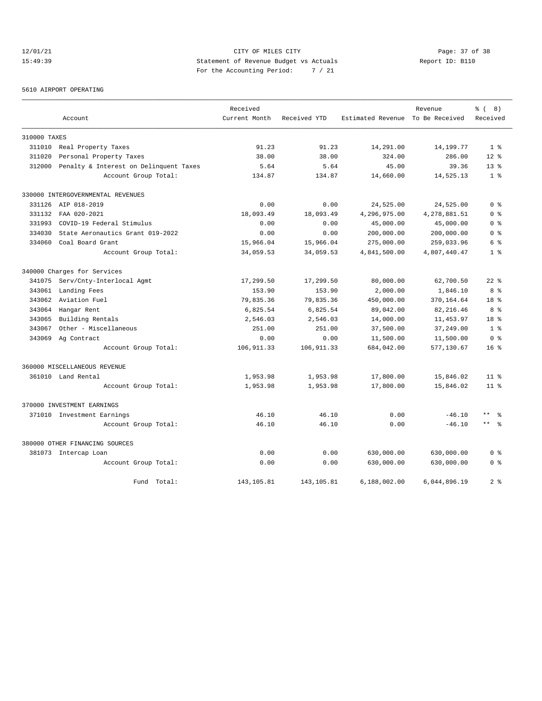## 12/01/21 Page: 37 of 38 15:49:39 Statement of Revenue Budget vs Actuals Report ID: B110 For the Accounting Period: 7 / 21

#### 5610 AIRPORT OPERATING

|              |                                        | Received      |              |                                  | Revenue      | % (<br>8)           |
|--------------|----------------------------------------|---------------|--------------|----------------------------------|--------------|---------------------|
|              | Account                                | Current Month | Received YTD | Estimated Revenue To Be Received |              | Received            |
| 310000 TAXES |                                        |               |              |                                  |              |                     |
| 311010       | Real Property Taxes                    | 91.23         | 91.23        | 14,291.00                        | 14,199.77    | 1 <sup>8</sup>      |
| 311020       | Personal Property Taxes                | 38.00         | 38.00        | 324.00                           | 286.00       | $12*$               |
| 312000       | Penalty & Interest on Delinquent Taxes | 5.64          | 5.64         | 45.00                            | 39.36        | 13 <sup>8</sup>     |
|              | Account Group Total:                   | 134.87        | 134.87       | 14,660.00                        | 14,525.13    | $1 \text{ }$        |
|              | 330000 INTERGOVERNMENTAL REVENUES      |               |              |                                  |              |                     |
|              | 331126 AIP 018-2019                    | 0.00          | 0.00         | 24,525.00                        | 24,525.00    | ი ჵ                 |
|              | 331132 FAA 020-2021                    | 18,093.49     | 18,093.49    | 4,296,975.00                     | 4,278,881.51 | 0 <sup>8</sup>      |
| 331993       | COVID-19 Federal Stimulus              | 0.00          | 0.00         | 45,000.00                        | 45,000.00    | 0 <sup>8</sup>      |
| 334030       | State Aeronautics Grant 019-2022       | 0.00          | 0.00         | 200,000.00                       | 200,000.00   | 0 <sup>8</sup>      |
| 334060       | Coal Board Grant                       | 15,966.04     | 15,966.04    | 275,000.00                       | 259,033.96   | 6 %                 |
|              | Account Group Total:                   | 34,059.53     | 34,059.53    | 4,841,500.00                     | 4,807,440.47 | 1 <sup>8</sup>      |
|              | 340000 Charges for Services            |               |              |                                  |              |                     |
| 341075       | Serv/Cnty-Interlocal Agmt              | 17,299.50     | 17,299.50    | 80,000.00                        | 62,700.50    | $22$ %              |
| 343061       | Landing Fees                           | 153.90        | 153.90       | 2,000.00                         | 1,846.10     | 8 %                 |
| 343062       | Aviation Fuel                          | 79,835.36     | 79,835.36    | 450,000.00                       | 370,164.64   | 18 <sup>8</sup>     |
| 343064       | Hangar Rent                            | 6,825.54      | 6,825.54     | 89,042.00                        | 82, 216.46   | 8 %                 |
| 343065       | Building Rentals                       | 2,546.03      | 2,546.03     | 14,000.00                        | 11,453.97    | 18 %                |
| 343067       | Other - Miscellaneous                  | 251.00        | 251.00       | 37,500.00                        | 37,249.00    | 1 <sup>8</sup>      |
| 343069       | Ag Contract                            | 0.00          | 0.00         | 11,500.00                        | 11,500.00    | 0 <sup>8</sup>      |
|              | Account Group Total:                   | 106,911.33    | 106,911.33   | 684,042.00                       | 577,130.67   | 16 <sup>8</sup>     |
|              | 360000 MISCELLANEOUS REVENUE           |               |              |                                  |              |                     |
|              | 361010 Land Rental                     | 1,953.98      | 1,953.98     | 17,800.00                        | 15,846.02    | $11*$               |
|              | Account Group Total:                   | 1,953.98      | 1,953.98     | 17,800.00                        | 15,846.02    | $11$ %              |
|              | 370000 INVESTMENT EARNINGS             |               |              |                                  |              |                     |
|              | 371010 Investment Earnings             | 46.10         | 46.10        | 0.00                             | $-46.10$     | $\star\star$        |
|              | Account Group Total:                   | 46.10         | 46.10        | 0.00                             | $-46.10$     | $***$ $\frac{6}{6}$ |
|              | 380000 OTHER FINANCING SOURCES         |               |              |                                  |              |                     |
|              | 381073 Intercap Loan                   | 0.00          | 0.00         | 630,000.00                       | 630,000.00   | 0 <sup>8</sup>      |
|              | Account Group Total:                   | 0.00          | 0.00         | 630,000.00                       | 630,000.00   | 0 <sup>8</sup>      |
|              | Fund Total:                            | 143, 105.81   | 143, 105.81  | 6,188,002.00                     | 6,044,896.19 | 2 <sup>8</sup>      |